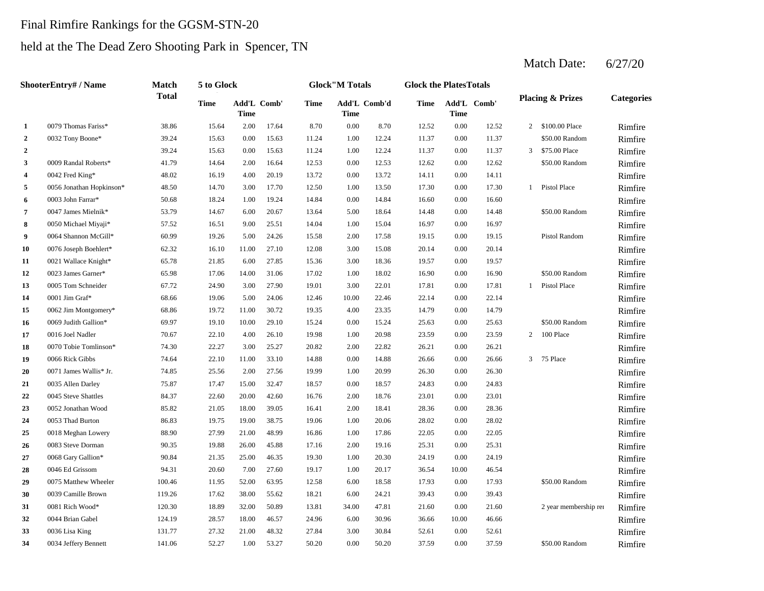## Final Rimfire Rankings for the GGSM-STN-20

## held at the The Dead Zero Shooting Park in Spencer, TN

Match Date: 6/27/20

|                  | <b>ShooterEntry#/Name</b> | <b>Match</b> | 5 to Glock |                            |       |             | <b>Glock</b> "M Totals |       | <b>Glock the PlatesTotals</b> |             |             |                |                             |                   |
|------------------|---------------------------|--------------|------------|----------------------------|-------|-------------|------------------------|-------|-------------------------------|-------------|-------------|----------------|-----------------------------|-------------------|
|                  |                           | <b>Total</b> | Time       | Add'L Comb'<br><b>Time</b> |       | <b>Time</b> | Add'L Comb'd<br>Time   |       | Time                          | <b>Time</b> | Add'L Comb' |                | <b>Placing &amp; Prizes</b> | <b>Categories</b> |
| 1                | 0079 Thomas Fariss*       | 38.86        | 15.64      | 2.00                       | 17.64 | 8.70        | 0.00                   | 8.70  | 12.52                         | 0.00        | 12.52       |                | 2 \$100.00 Place            | Rimfire           |
| $\boldsymbol{2}$ | 0032 Tony Boone*          | 39.24        | 15.63      | 0.00                       | 15.63 | 11.24       | 1.00                   | 12.24 | 11.37                         | 0.00        | 11.37       |                | \$50.00 Random              | Rimfire           |
| $\boldsymbol{2}$ |                           | 39.24        | 15.63      | 0.00                       | 15.63 | 11.24       | 1.00                   | 12.24 | 11.37                         | 0.00        | 11.37       | 3              | \$75.00 Place               | Rimfire           |
| 3                | 0009 Randal Roberts*      | 41.79        | 14.64      | 2.00                       | 16.64 | 12.53       | 0.00                   | 12.53 | 12.62                         | 0.00        | 12.62       |                | \$50.00 Random              | Rimfire           |
| 4                | 0042 Fred King*           | 48.02        | 16.19      | 4.00                       | 20.19 | 13.72       | 0.00                   | 13.72 | 14.11                         | 0.00        | 14.11       |                |                             | Rimfire           |
| 5                | 0056 Jonathan Hopkinson*  | 48.50        | 14.70      | 3.00                       | 17.70 | 12.50       | 1.00                   | 13.50 | 17.30                         | 0.00        | 17.30       | 1              | Pistol Place                | Rimfire           |
| 6                | 0003 John Farrar*         | 50.68        | 18.24      | 1.00                       | 19.24 | 14.84       | 0.00                   | 14.84 | 16.60                         | 0.00        | 16.60       |                |                             | Rimfire           |
| 7                | 0047 James Mielnik*       | 53.79        | 14.67      | 6.00                       | 20.67 | 13.64       | 5.00                   | 18.64 | 14.48                         | 0.00        | 14.48       |                | \$50.00 Random              | Rimfire           |
| 8                | 0050 Michael Miyaji*      | 57.52        | 16.51      | 9.00                       | 25.51 | 14.04       | 1.00                   | 15.04 | 16.97                         | 0.00        | 16.97       |                |                             | Rimfire           |
| 9                | 0064 Shannon McGill*      | 60.99        | 19.26      | 5.00                       | 24.26 | 15.58       | 2.00                   | 17.58 | 19.15                         | 0.00        | 19.15       |                | Pistol Random               | Rimfire           |
| 10               | 0076 Joseph Boehlert*     | 62.32        | 16.10      | 11.00                      | 27.10 | 12.08       | 3.00                   | 15.08 | 20.14                         | 0.00        | 20.14       |                |                             | Rimfire           |
| 11               | 0021 Wallace Knight*      | 65.78        | 21.85      | 6.00                       | 27.85 | 15.36       | 3.00                   | 18.36 | 19.57                         | 0.00        | 19.57       |                |                             | Rimfire           |
| 12               | 0023 James Garner*        | 65.98        | 17.06      | 14.00                      | 31.06 | 17.02       | 1.00                   | 18.02 | 16.90                         | 0.00        | 16.90       |                | \$50.00 Random              | Rimfire           |
| 13               | 0005 Tom Schneider        | 67.72        | 24.90      | 3.00                       | 27.90 | 19.01       | 3.00                   | 22.01 | 17.81                         | 0.00        | 17.81       | $\mathbf{1}$   | Pistol Place                | Rimfire           |
| 14               | 0001 Jim Graf*            | 68.66        | 19.06      | 5.00                       | 24.06 | 12.46       | 10.00                  | 22.46 | 22.14                         | 0.00        | 22.14       |                |                             | Rimfire           |
| 15               | 0062 Jim Montgomery*      | 68.86        | 19.72      | 11.00                      | 30.72 | 19.35       | 4.00                   | 23.35 | 14.79                         | 0.00        | 14.79       |                |                             | Rimfire           |
| 16               | 0069 Judith Gallion*      | 69.97        | 19.10      | 10.00                      | 29.10 | 15.24       | 0.00                   | 15.24 | 25.63                         | 0.00        | 25.63       |                | \$50.00 Random              | Rimfire           |
| 17               | 0016 Joel Nadler          | 70.67        | 22.10      | 4.00                       | 26.10 | 19.98       | 1.00                   | 20.98 | 23.59                         | 0.00        | 23.59       | $\overline{2}$ | 100 Place                   | Rimfire           |
| 18               | 0070 Tobie Tomlinson*     | 74.30        | 22.27      | 3.00                       | 25.27 | 20.82       | 2.00                   | 22.82 | 26.21                         | 0.00        | 26.21       |                |                             | Rimfire           |
| 19               | 0066 Rick Gibbs           | 74.64        | 22.10      | 11.00                      | 33.10 | 14.88       | 0.00                   | 14.88 | 26.66                         | 0.00        | 26.66       | 3              | 75 Place                    | Rimfire           |
| 20               | 0071 James Wallis* Jr.    | 74.85        | 25.56      | 2.00                       | 27.56 | 19.99       | 1.00                   | 20.99 | 26.30                         | 0.00        | 26.30       |                |                             | Rimfire           |
| 21               | 0035 Allen Darley         | 75.87        | 17.47      | 15.00                      | 32.47 | 18.57       | 0.00                   | 18.57 | 24.83                         | 0.00        | 24.83       |                |                             | Rimfire           |
| 22               | 0045 Steve Shattles       | 84.37        | 22.60      | 20.00                      | 42.60 | 16.76       | 2.00                   | 18.76 | 23.01                         | 0.00        | 23.01       |                |                             | Rimfire           |
| 23               | 0052 Jonathan Wood        | 85.82        | 21.05      | 18.00                      | 39.05 | 16.41       | 2.00                   | 18.41 | 28.36                         | 0.00        | 28.36       |                |                             | Rimfire           |
| 24               | 0053 Thad Burton          | 86.83        | 19.75      | 19.00                      | 38.75 | 19.06       | 1.00                   | 20.06 | 28.02                         | 0.00        | 28.02       |                |                             | Rimfire           |
| 25               | 0018 Meghan Lowery        | 88.90        | 27.99      | 21.00                      | 48.99 | 16.86       | 1.00                   | 17.86 | 22.05                         | 0.00        | 22.05       |                |                             | Rimfire           |
| 26               | 0083 Steve Dorman         | 90.35        | 19.88      | 26.00                      | 45.88 | 17.16       | 2.00                   | 19.16 | 25.31                         | 0.00        | 25.31       |                |                             | Rimfire           |
| 27               | 0068 Gary Gallion*        | 90.84        | 21.35      | 25.00                      | 46.35 | 19.30       | 1.00                   | 20.30 | 24.19                         | 0.00        | 24.19       |                |                             | Rimfire           |
| 28               | 0046 Ed Grissom           | 94.31        | 20.60      | 7.00                       | 27.60 | 19.17       | 1.00                   | 20.17 | 36.54                         | 10.00       | 46.54       |                |                             | Rimfire           |
| 29               | 0075 Matthew Wheeler      | 100.46       | 11.95      | 52.00                      | 63.95 | 12.58       | 6.00                   | 18.58 | 17.93                         | 0.00        | 17.93       |                | \$50.00 Random              | Rimfire           |
| 30               | 0039 Camille Brown        | 119.26       | 17.62      | 38.00                      | 55.62 | 18.21       | 6.00                   | 24.21 | 39.43                         | 0.00        | 39.43       |                |                             | Rimfire           |
| 31               | 0081 Rich Wood*           | 120.30       | 18.89      | 32.00                      | 50.89 | 13.81       | 34.00                  | 47.81 | 21.60                         | 0.00        | 21.60       |                | 2 year membership ren       | Rimfire           |
| 32               | 0044 Brian Gabel          | 124.19       | 28.57      | 18.00                      | 46.57 | 24.96       | 6.00                   | 30.96 | 36.66                         | 10.00       | 46.66       |                |                             | Rimfire           |
| 33               | 0036 Lisa King            | 131.77       | 27.32      | 21.00                      | 48.32 | 27.84       | 3.00                   | 30.84 | 52.61                         | 0.00        | 52.61       |                |                             | Rimfire           |
| 34               | 0034 Jeffery Bennett      | 141.06       | 52.27      | 1.00                       | 53.27 | 50.20       | 0.00                   | 50.20 | 37.59                         | 0.00        | 37.59       |                | \$50.00 Random              | Rimfire           |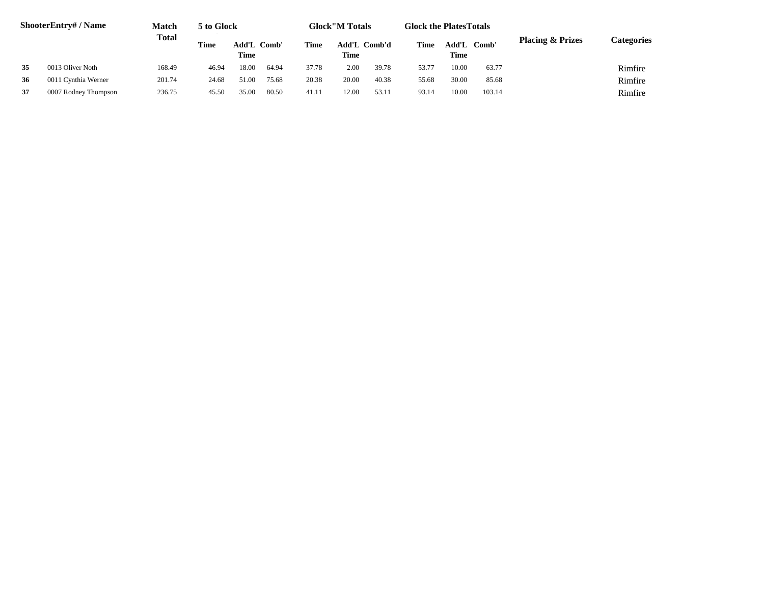|    | ShooterEntry# / Name | Match  | 5 to Glock |                     |       |       | <b>Glock</b> "M Totals      |       | <b>Glock the PlatesTotals</b> |       |             |                             |            |
|----|----------------------|--------|------------|---------------------|-------|-------|-----------------------------|-------|-------------------------------|-------|-------------|-----------------------------|------------|
|    |                      | Total  | Time       | Add'L Comb'<br>Time |       | Time  | Add'L Comb'd<br><b>Time</b> |       | Time                          | Time  | Add'L Comb' | <b>Placing &amp; Prizes</b> | Categories |
| 35 | 0013 Oliver Noth     | 168.49 | 46.94      | 18.00               | 64.94 | 37.78 | 2.00                        | 39.78 | 53.77                         | 10.00 | 63.77       |                             | Rimfire    |
| 36 | 0011 Cynthia Werner  | 201.74 | 24.68      | 51.00               | 75.68 | 20.38 | 20.00                       | 40.38 | 55.68                         | 30.00 | 85.68       |                             | Rimfire    |
| 37 | 0007 Rodney Thompson | 236.75 | 45.50      | 35.00               | 80.50 | 41.11 | 12.00                       | 53.11 | 93.14                         | 10.00 | 103.14      |                             | Rimfire    |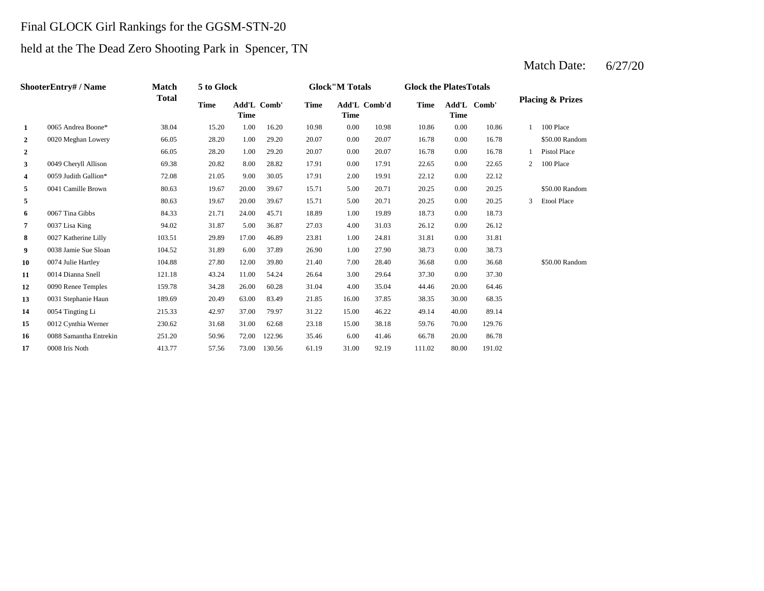## Final GLOCK Girl Rankings for the GGSM-STN-20

# held at the The Dead Zero Shooting Park in Spencer, TN

Match Date: 6/27/20

|                | ShooterEntry# / Name   | <b>Match</b> | 5 to Glock  |             |             |             | <b>Glock</b> "M Totals |              | <b>Glock the PlatesTotals</b> |       |             |   |                             |
|----------------|------------------------|--------------|-------------|-------------|-------------|-------------|------------------------|--------------|-------------------------------|-------|-------------|---|-----------------------------|
|                |                        | <b>Total</b> | <b>Time</b> | <b>Time</b> | Add'L Comb' | <b>Time</b> | <b>Time</b>            | Add'L Comb'd | Time                          | Time  | Add'L Comb' |   | <b>Placing &amp; Prizes</b> |
| 1              | 0065 Andrea Boone*     | 38.04        | 15.20       | 1.00        | 16.20       | 10.98       | 0.00                   | 10.98        | 10.86                         | 0.00  | 10.86       |   | 100 Place                   |
| $\overline{2}$ | 0020 Meghan Lowery     | 66.05        | 28.20       | 1.00        | 29.20       | 20.07       | 0.00                   | 20.07        | 16.78                         | 0.00  | 16.78       |   | \$50.00 Random              |
| $\overline{2}$ |                        | 66.05        | 28.20       | 1.00        | 29.20       | 20.07       | 0.00                   | 20.07        | 16.78                         | 0.00  | 16.78       |   | Pistol Place                |
| 3              | 0049 Cheryll Allison   | 69.38        | 20.82       | 8.00        | 28.82       | 17.91       | 0.00                   | 17.91        | 22.65                         | 0.00  | 22.65       | 2 | 100 Place                   |
| 4              | 0059 Judith Gallion*   | 72.08        | 21.05       | 9.00        | 30.05       | 17.91       | 2.00                   | 19.91        | 22.12                         | 0.00  | 22.12       |   |                             |
| 5              | 0041 Camille Brown     | 80.63        | 19.67       | 20.00       | 39.67       | 15.71       | 5.00                   | 20.71        | 20.25                         | 0.00  | 20.25       |   | \$50.00 Random              |
| 5              |                        | 80.63        | 19.67       | 20.00       | 39.67       | 15.71       | 5.00                   | 20.71        | 20.25                         | 0.00  | 20.25       | 3 | <b>Etool Place</b>          |
| 6              | 0067 Tina Gibbs        | 84.33        | 21.71       | 24.00       | 45.71       | 18.89       | 1.00                   | 19.89        | 18.73                         | 0.00  | 18.73       |   |                             |
| $\overline{7}$ | 0037 Lisa King         | 94.02        | 31.87       | 5.00        | 36.87       | 27.03       | 4.00                   | 31.03        | 26.12                         | 0.00  | 26.12       |   |                             |
| 8              | 0027 Katherine Lilly   | 103.51       | 29.89       | 17.00       | 46.89       | 23.81       | 1.00                   | 24.81        | 31.81                         | 0.00  | 31.81       |   |                             |
| 9              | 0038 Jamie Sue Sloan   | 104.52       | 31.89       | 6.00        | 37.89       | 26.90       | 1.00                   | 27.90        | 38.73                         | 0.00  | 38.73       |   |                             |
| 10             | 0074 Julie Hartley     | 104.88       | 27.80       | 12.00       | 39.80       | 21.40       | 7.00                   | 28.40        | 36.68                         | 0.00  | 36.68       |   | \$50.00 Random              |
| 11             | 0014 Dianna Snell      | 121.18       | 43.24       | 11.00       | 54.24       | 26.64       | 3.00                   | 29.64        | 37.30                         | 0.00  | 37.30       |   |                             |
| 12             | 0090 Renee Temples     | 159.78       | 34.28       | 26.00       | 60.28       | 31.04       | 4.00                   | 35.04        | 44.46                         | 20.00 | 64.46       |   |                             |
| 13             | 0031 Stephanie Haun    | 189.69       | 20.49       | 63.00       | 83.49       | 21.85       | 16.00                  | 37.85        | 38.35                         | 30.00 | 68.35       |   |                             |
| 14             | 0054 Tingting Li       | 215.33       | 42.97       | 37.00       | 79.97       | 31.22       | 15.00                  | 46.22        | 49.14                         | 40.00 | 89.14       |   |                             |
| 15             | 0012 Cynthia Werner    | 230.62       | 31.68       | 31.00       | 62.68       | 23.18       | 15.00                  | 38.18        | 59.76                         | 70.00 | 129.76      |   |                             |
| 16             | 0088 Samantha Entrekin | 251.20       | 50.96       | 72.00       | 122.96      | 35.46       | 6.00                   | 41.46        | 66.78                         | 20.00 | 86.78       |   |                             |
| 17             | 0008 Iris Noth         | 413.77       | 57.56       | 73.00       | 130.56      | 61.19       | 31.00                  | 92.19        | 111.02                        | 80.00 | 191.02      |   |                             |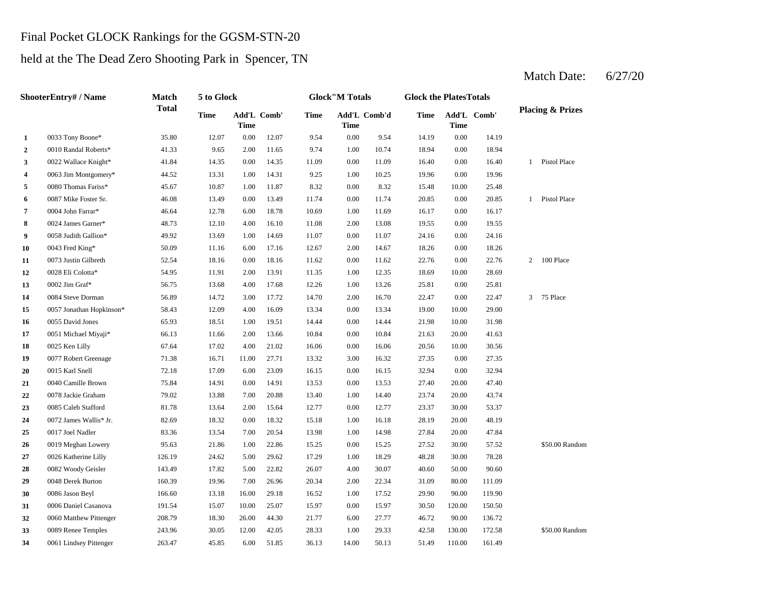### Final Pocket GLOCK Rankings for the GGSM-STN-20

### held at the The Dead Zero Shooting Park in Spencer, TN

**2** 0010 Randal Roberts\* 41.33 9.65 2.00 11.65 9.74 1.00 10.74 18.94 **3** 0022 Wallace Knight\* 41.84 14.35 0.00 14.35 11.09 0.00 11.09 16.40 **4** 0063 Jim Montgomery\* **44.52** 13.31 1.00 14.31 9.25 1.00 10.25 19.96 **5** 0.00 Thomas Fariss\* **45.67** 10.87 1.00 11.87 8.32 0.00 8.32 15.48 **6** 0.087 Mike Foster Sr. 46.08 13.49 0.00 13.49 11.74 0.00 11.74 20.85 **7** 0004 John Farrar\* **10.64** 12.78 6.00 18.78 10.69 1.00 11.69 16.17 **8** 2.00 13.08 19.55 **8** 2.00 16.10 16.10 16.10 16.10 16.10 16.10 15.08 19.55 **9** 0.058 Judith Gallion\* 49.92 13.69 1.00 14.69 11.07 0.00 11.07 24.16 0.00 **10** 0043 Fred King\* **10.10 10.00 11.16 10.00 17.16 12.67 2.00 14.67 18.26 11** 0073 Justin Gilbreth 52.54 18.16 0.00 18.16 11.62 0.00 11.62 22.76 **12** 0028 Eli Colotta\* 54.95 11.91 2.00 13.91 11.35 1.00 12.35 18.69 **13** 12.26 1.00 **13.26** 25.81 **14** 0084 Steve Dorman 56.89 14.72 3.00 17.72 14.70 2.00 16.70 2.2.47 **15** 0.00 19.00 0057 Jonathan Hopkinson\* 58.43 12.09 4.00 16.09 13.34 **16** 0.055 David Jones 65.93 18.51 1.00 19.51 14.44 0.00 14.44 21.98 **17** 0051 Michael Miyaji\* 66.13 11.66 2.00 13.66 10.84 0.00 10.84 21.63 20.00 **18** 0025 Ken Lilly **18** 67.64 **17.02** 4.00 21.02 **16.06** 0.00 **16.06** 20.56 **19** 0077 Robert Greenage **11.38** 16.71 11.00 27.71 13.32 3.00 16.32 27.35 **20** 0.015 Karl Snell **2018** 12.18 17.09 12.09 12.09 16.15 16.15 16.15 16.15 17.09 16.15 17.09 16.15 17.09 16.15 **21** 0040 Camille Brown 75.84 14.91 0.00 14.91 13.53 0.00 13.53 27.40 20.00 **22** 1.00 23.74 0078 Jackie Graham 79.02 13.88 7.00 20.88 13.40 14.40 20.00 43.74 **23** 0.00 12.77 **23.37 23.37 23.37 23.37 23.37 23.37 24** 0072 James Wallis\* Jr. 82.69 18.32 0.00 18.32 15.18 1.00 16.18 28.19 25 0017 Joel Nadler 83.36 13.54 7.00 20.54 13.98 1.00 14.98 27.84 **26** 0019 Meghan Lowery 95.63 21.86 1.00 22.86 15.25 0.00 15.25 27.52 30.00 57.52 **27** 0026 Katherine Lilly 126.19 24.62 5.00 29.62 17.29 1.00 18.29 48.28 30.00 78.28 **28** 0082 Woody Geisler 143.49 17.82 5.00 22.82 26.07 4.00 30.07 40.60 **29** 0048 Derek Burton 160.39 19.96 7.00 26.96 20.34 2.00 22.34 31.09 **30** 1.00 **17.52** 1.00 **17.52** 1.00 **17.52** 1.00 **17.52** 1.00 **17.52** 1.00 **17.52** 1.00 **17.52** 1.00 **17.52** 1.00 **17.52** 1.00 **17.52** 1.00 **17.52** 1.00 **17.52** 1.00 **17.52** 1.00 **17.52** 1.00 **17.52** 1.00 **17.52** 1.00 **1.0 31** 0006 Daniel Casanova 191.54 15.07 10.00 25.07 15.97 0.00 15.97 30.50 120.00 150.50 **32** 0060 Matthew Pittenger 208.79 18.30 26.00 44.30 21.77 6.00 27.77 46.72 **33** 0089 Renee Temples 243.96 30.05 12.00 42.05 28.33 1.00 29.33 42.58 130.00 172.58 \$50.00 Random 27.77 90.00 136.72 119.90 80.00 111.09 0086 Jason Beyl 166.60 13.18 16.00 29.18 16.52 1.00 17.52 29.90 90.00 30.07 50.00 90.60 \$50.00 Random 47.84 20.00 48.19 0017 Joel Nadler 27.84 20.00 83.36 13.54 7.00 20.54 13.98 1.00 14.98 27.84 20.00 12.77 30.00 53.37 47.40 0.00 32.94 16.32 0.00 27.35 0015 Karl Snell 2015 Karl Snell 2015 Karl Snell 2015 Karl Snell 2016 17.09 17.09 23.09 16.15 16.15 41.63 0025 Ken Lilly 67.64 17.02 4.00 21.02 16.06 0.00 16.06 20.56 10.00 30.56 10.00 31.98 13.34 19.00 10.00 29.00 0.00 22.47 3 75 Place 13.26 25.81 0.00 25.81 11.35 1.00 12.35 18.69 10.00 28.69 0002 Jim Graf<sup>\*</sup> 56.75 13.68 4.00 17.68 12.26 11.62 22.76 0.00 22.76 2 100 Place 0028 Eli Colotta\* 54.95 11.91 2.00 13.91 24.16 0043 Fred King\* 50.09 11.16 6.00 17.16 12.67 14.67 0.00 18.26 0.00 19.55 11.69 0.00 16.17 0.00 20.85 1 Pistol Place 0004 John Farrar\* 46.64 12.78 6.00 18.78 10.69 8.32 10.00 25.48 9.25 1.00 10.25 19.96 0.00 19.96 11.09 0.00 16.40 1 Pistol Place 9.74 10.74 0.00 18.94 0.00 9.54 14.19 0.00 14.19 **Time Add'L Comb' Time 1** 0033 Tony Boone\* 35.80 12.07 0.00 12.07 9.54 **Time Add'L Comb' Time Time Add'L Comb'd Time ShooterEntry# / Name Match Total 5 to Glock Time Glock"M Totals Glock the PlatesTotals Placing & Prizes**

**34** 0061 Lindsey Pittenger 263.47 45.85 6.00 51.85 36.13 14.00 50.13 51.49 110.00 161.49

Match Date: 6/27/20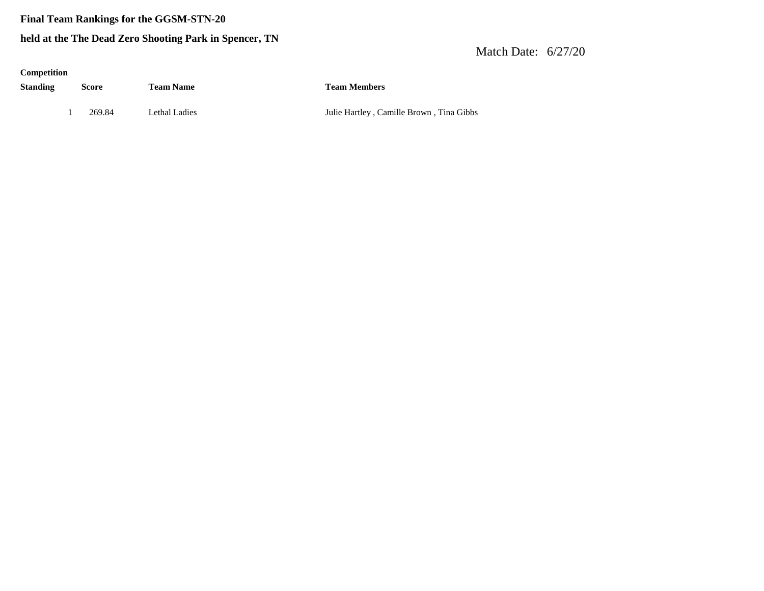### **Final Team Rankings for the GGSM-STN-20**

### **held at the The Dead Zero Shooting Park in Spencer, TN**

### Match Date: 6/27/20

### **Competition**

**Standing Score Team Name Team Members**

1 269.84 Lethal Ladies Julie Hartley , Camille Brown , Tina Gibbs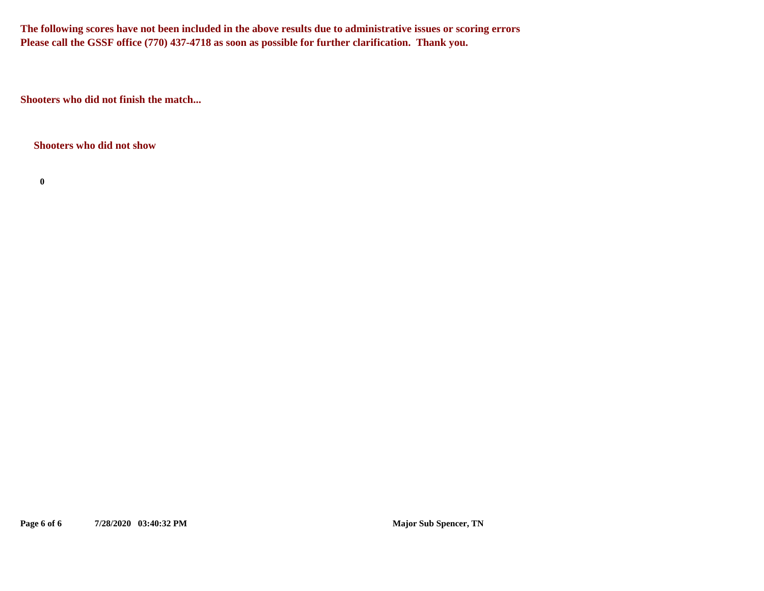**The following scores have not been included in the above results due to administrative issues or scoring errors Please call the GSSF office (770) 437-4718 as soon as possible for further clarification. Thank you.**

**Shooters who did not finish the match...**

**Shooters who did not show**

**0**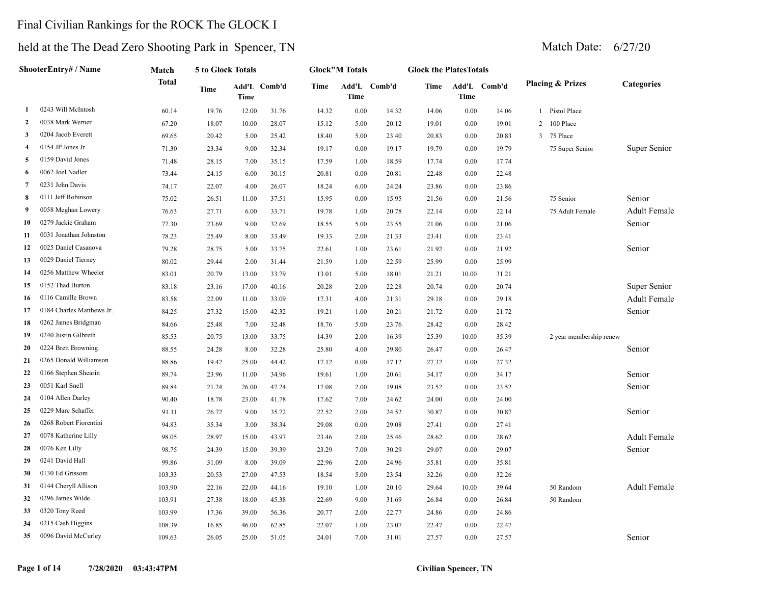## Final Civilian Rankings for the ROCK The GLOCK I

|                | ShooterEntry# / Name      | Match        | 5 to Glock Totals |                      |       |       | <b>Glock"M Totals</b> |              | <b>Glock the PlatesTotals</b> |             |              |              |                             |                     |
|----------------|---------------------------|--------------|-------------------|----------------------|-------|-------|-----------------------|--------------|-------------------------------|-------------|--------------|--------------|-----------------------------|---------------------|
|                |                           | <b>Total</b> | <b>Time</b>       | Add'L Comb'd<br>Time |       | Time  | <b>Time</b>           | Add'L Comb'd | Time                          | <b>Time</b> | Add'L Comb'd |              | <b>Placing &amp; Prizes</b> | Categories          |
| 1              | 0243 Will McIntosh        | 60.14        | 19.76             | 12.00                | 31.76 | 14.32 | 0.00                  | 14.32        | 14.06                         | $0.00\,$    | 14.06        | 1            | Pistol Place                |                     |
| 2              | 0038 Mark Werner          | 67.20        | 18.07             | 10.00                | 28.07 | 15.12 | 5.00                  | 20.12        | 19.01                         | 0.00        | 19.01        | 2            | 100 Place                   |                     |
| 3              | 0204 Jacob Everett        | 69.65        | 20.42             | 5.00                 | 25.42 | 18.40 | 5.00                  | 23.40        | 20.83                         | 0.00        | 20.83        | $\mathbf{3}$ | 75 Place                    |                     |
| -4             | 0154 JP Jones Jr.         | 71.30        | 23.34             | 9.00                 | 32.34 | 19.17 | 0.00                  | 19.17        | 19.79                         | 0.00        | 19.79        |              | 75 Super Senior             | Super Senior        |
| 5              | 0159 David Jones          | 71.48        | 28.15             | 7.00                 | 35.15 | 17.59 | 1.00                  | 18.59        | 17.74                         | 0.00        | 17.74        |              |                             |                     |
| 6              | 0062 Joel Nadler          | 73.44        | 24.15             | 6.00                 | 30.15 | 20.81 | 0.00                  | 20.81        | 22.48                         | $0.00\,$    | 22.48        |              |                             |                     |
| $\overline{7}$ | 0231 John Davis           | 74.17        | 22.07             | 4.00                 | 26.07 | 18.24 | 6.00                  | 24.24        | 23.86                         | $0.00\,$    | 23.86        |              |                             |                     |
| 8              | 0111 Jeff Robinson        | 75.02        | 26.51             | 11.00                | 37.51 | 15.95 | 0.00                  | 15.95        | 21.56                         | 0.00        | 21.56        |              | 75 Senior                   | Senior              |
| -9             | 0058 Meghan Lowery        | 76.63        | 27.71             | 6.00                 | 33.71 | 19.78 | 1.00                  | 20.78        | 22.14                         | 0.00        | 22.14        |              | 75 Adult Female             | <b>Adult Female</b> |
| 10             | 0279 Jackie Graham        | 77.30        | 23.69             | 9.00                 | 32.69 | 18.55 | 5.00                  | 23.55        | 21.06                         | 0.00        | 21.06        |              |                             | Senior              |
| 11             | 0031 Jonathan Johnston    | 78.23        | 25.49             | 8.00                 | 33.49 | 19.33 | 2.00                  | 21.33        | 23.41                         | 0.00        | 23.41        |              |                             |                     |
| 12             | 0025 Daniel Casanova      | 79.28        | 28.75             | 5.00                 | 33.75 | 22.61 | 1.00                  | 23.61        | 21.92                         | 0.00        | 21.92        |              |                             | Senior              |
| 13             | 0029 Daniel Tierney       | 80.02        | 29.44             | 2.00                 | 31.44 | 21.59 | 1.00                  | 22.59        | 25.99                         | 0.00        | 25.99        |              |                             |                     |
| 14             | 0256 Matthew Wheeler      | 83.01        | 20.79             | 13.00                | 33.79 | 13.01 | 5.00                  | 18.01        | 21.21                         | 10.00       | 31.21        |              |                             |                     |
| 15             | 0152 Thad Burton          | 83.18        | 23.16             | 17.00                | 40.16 | 20.28 | 2.00                  | 22.28        | 20.74                         | 0.00        | 20.74        |              |                             | Super Senior        |
| 16             | 0116 Camille Brown        | 83.58        | 22.09             | 11.00                | 33.09 | 17.31 | 4.00                  | 21.31        | 29.18                         | 0.00        | 29.18        |              |                             | Adult Female        |
| 17             | 0184 Charles Matthews Jr. | 84.25        | 27.32             | 15.00                | 42.32 | 19.21 | 1.00                  | 20.21        | 21.72                         | 0.00        | 21.72        |              |                             | Senior              |
| 18             | 0262 James Bridgman       | 84.66        | 25.48             | 7.00                 | 32.48 | 18.76 | 5.00                  | 23.76        | 28.42                         | 0.00        | 28.42        |              |                             |                     |
| 19             | 0240 Justin Gilbreth      | 85.53        | 20.75             | 13.00                | 33.75 | 14.39 | 2.00                  | 16.39        | 25.39                         | 10.00       | 35.39        |              | 2 year membership renew     |                     |
| 20             | 0224 Brett Browning       | 88.55        | 24.28             | 8.00                 | 32.28 | 25.80 | 4.00                  | 29.80        | 26.47                         | 0.00        | 26.47        |              |                             | Senior              |
| 21             | 0265 Donald Williamson    | 88.86        | 19.42             | 25.00                | 44.42 | 17.12 | 0.00                  | 17.12        | 27.32                         | 0.00        | 27.32        |              |                             |                     |
| 22             | 0166 Stephen Shearin      | 89.74        | 23.96             | 11.00                | 34.96 | 19.61 | 1.00                  | 20.61        | 34.17                         | 0.00        | 34.17        |              |                             | Senior              |
| 23             | 0051 Karl Snell           | 89.84        | 21.24             | 26.00                | 47.24 | 17.08 | 2.00                  | 19.08        | 23.52                         | 0.00        | 23.52        |              |                             | Senior              |
| 24             | 0104 Allen Darley         | 90.40        | 18.78             | 23.00                | 41.78 | 17.62 | 7.00                  | 24.62        | 24.00                         | 0.00        | 24.00        |              |                             |                     |
| 25             | 0229 Marc Schaffer        | 91.11        | 26.72             | 9.00                 | 35.72 | 22.52 | 2.00                  | 24.52        | 30.87                         | 0.00        | 30.87        |              |                             | Senior              |
| 26             | 0268 Robert Fiorentini    | 94.83        | 35.34             | 3.00                 | 38.34 | 29.08 | 0.00                  | 29.08        | 27.41                         | 0.00        | 27.41        |              |                             |                     |
| 27             | 0078 Katherine Lilly      | 98.05        | 28.97             | 15.00                | 43.97 | 23.46 | 2.00                  | 25.46        | 28.62                         | 0.00        | 28.62        |              |                             | Adult Female        |
| 28             | 0076 Ken Lilly            | 98.75        | 24.39             | 15.00                | 39.39 | 23.29 | 7.00                  | 30.29        | 29.07                         | 0.00        | 29.07        |              |                             | Senior              |
| 29             | 0241 David Hall           | 99.86        | 31.09             | 8.00                 | 39.09 | 22.96 | 2.00                  | 24.96        | 35.81                         | 0.00        | 35.81        |              |                             |                     |
| 30             | 0130 Ed Grissom           | 103.33       | 20.53             | 27.00                | 47.53 | 18.54 | 5.00                  | 23.54        | 32.26                         | $0.00\,$    | 32.26        |              |                             |                     |
| 31             | 0144 Cheryll Allison      | 103.90       | 22.16             | 22.00                | 44.16 | 19.10 | 1.00                  | 20.10        | 29.64                         | 10.00       | 39.64        |              | $50$ Random                 | <b>Adult Female</b> |
| 32             | 0296 James Wilde          | 103.91       | 27.38             | 18.00                | 45.38 | 22.69 | 9.00                  | 31.69        | 26.84                         | $0.00\,$    | 26.84        |              | 50 Random                   |                     |
| 33             | 0320 Tony Reed            | 103.99       | 17.36             | 39.00                | 56.36 | 20.77 | 2.00                  | 22.77        | 24.86                         | 0.00        | 24.86        |              |                             |                     |
| 34             | 0215 Cash Higgins         | 108.39       | 16.85             | 46.00                | 62.85 | 22.07 | 1.00                  | 23.07        | 22.47                         | 0.00        | 22.47        |              |                             |                     |
| 35             | 0096 David McCurley       | 109.63       | 26.05             | 25.00                | 51.05 | 24.01 | 7.00                  | 31.01        | 27.57                         | 0.00        | 27.57        |              |                             | Senior              |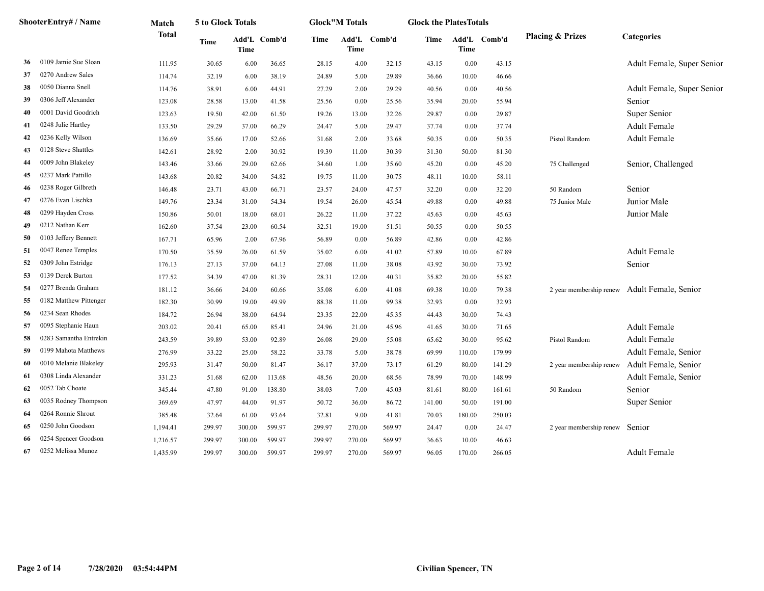|    | ShooterEntry# / Name   | Match        | 5 to Glock Totals |        |              |        | <b>Glock</b> "M Totals |              | <b>Glock the PlatesTotals</b> |             |              |                             |                                              |
|----|------------------------|--------------|-------------------|--------|--------------|--------|------------------------|--------------|-------------------------------|-------------|--------------|-----------------------------|----------------------------------------------|
|    |                        | <b>Total</b> | Time              | Time   | Add'L Comb'd | Time   | Time                   | Add'L Comb'd | Time                          | <b>Time</b> | Add'L Comb'd | <b>Placing &amp; Prizes</b> | Categories                                   |
| 36 | 0109 Jamie Sue Sloan   | 111.95       | 30.65             | 6.00   | 36.65        | 28.15  | 4.00                   | 32.15        | 43.15                         | 0.00        | 43.15        |                             | Adult Female, Super Senior                   |
| 37 | 0270 Andrew Sales      | 114.74       | 32.19             | 6.00   | 38.19        | 24.89  | 5.00                   | 29.89        | 36.66                         | 10.00       | 46.66        |                             |                                              |
| 38 | 0050 Dianna Snell      | 114.76       | 38.91             | 6.00   | 44.91        | 27.29  | 2.00                   | 29.29        | 40.56                         | 0.00        | 40.56        |                             | Adult Female, Super Senior                   |
| 39 | 0306 Jeff Alexander    | 123.08       | 28.58             | 13.00  | 41.58        | 25.56  | 0.00                   | 25.56        | 35.94                         | 20.00       | 55.94        |                             | Senior                                       |
| 40 | 0001 David Goodrich    | 123.63       | 19.50             | 42.00  | 61.50        | 19.26  | 13.00                  | 32.26        | 29.87                         | 0.00        | 29.87        |                             | Super Senior                                 |
| 41 | 0248 Julie Hartley     | 133.50       | 29.29             | 37.00  | 66.29        | 24.47  | 5.00                   | 29.47        | 37.74                         | 0.00        | 37.74        |                             | <b>Adult Female</b>                          |
| 42 | 0236 Kelly Wilson      | 136.69       | 35.66             | 17.00  | 52.66        | 31.68  | 2.00                   | 33.68        | 50.35                         | 0.00        | 50.35        | Pistol Random               | Adult Female                                 |
| 43 | 0128 Steve Shattles    | 142.61       | 28.92             | 2.00   | 30.92        | 19.39  | 11.00                  | 30.39        | 31.30                         | 50.00       | 81.30        |                             |                                              |
| 44 | 0009 John Blakeley     | 143.46       | 33.66             | 29.00  | 62.66        | 34.60  | 1.00                   | 35.60        | 45.20                         | 0.00        | 45.20        | 75 Challenged               | Senior, Challenged                           |
| 45 | 0237 Mark Pattillo     | 143.68       | 20.82             | 34.00  | 54.82        | 19.75  | 11.00                  | 30.75        | 48.11                         | 10.00       | 58.11        |                             |                                              |
| 46 | 0238 Roger Gilbreth    | 146.48       | 23.71             | 43.00  | 66.71        | 23.57  | 24.00                  | 47.57        | 32.20                         | 0.00        | 32.20        | 50 Random                   | Senior                                       |
| 47 | 0276 Evan Lischka      | 149.76       | 23.34             | 31.00  | 54.34        | 19.54  | 26.00                  | 45.54        | 49.88                         | 0.00        | 49.88        | 75 Junior Male              | Junior Male                                  |
| 48 | 0299 Hayden Cross      | 150.86       | 50.01             | 18.00  | 68.01        | 26.22  | 11.00                  | 37.22        | 45.63                         | 0.00        | 45.63        |                             | Junior Male                                  |
| 49 | 0212 Nathan Kerr       | 162.60       | 37.54             | 23.00  | 60.54        | 32.51  | 19.00                  | 51.51        | 50.55                         | 0.00        | 50.55        |                             |                                              |
| 50 | 0103 Jeffery Bennett   | 167.71       | 65.96             | 2.00   | 67.96        | 56.89  | 0.00                   | 56.89        | 42.86                         | 0.00        | 42.86        |                             |                                              |
| 51 | 0047 Renee Temples     | 170.50       | 35.59             | 26.00  | 61.59        | 35.02  | 6.00                   | 41.02        | 57.89                         | 10.00       | 67.89        |                             | <b>Adult Female</b>                          |
| 52 | 0309 John Estridge     | 176.13       | 27.13             | 37.00  | 64.13        | 27.08  | 11.00                  | 38.08        | 43.92                         | 30.00       | 73.92        |                             | Senior                                       |
| 53 | 0139 Derek Burton      | 177.52       | 34.39             | 47.00  | 81.39        | 28.31  | 12.00                  | 40.31        | 35.82                         | 20.00       | 55.82        |                             |                                              |
| 54 | 0277 Brenda Graham     | 181.12       | 36.66             | 24.00  | 60.66        | 35.08  | 6.00                   | 41.08        | 69.38                         | 10.00       | 79.38        |                             | 2 year membership renew Adult Female, Senior |
| 55 | 0182 Matthew Pittenger | 182.30       | 30.99             | 19.00  | 49.99        | 88.38  | 11.00                  | 99.38        | 32.93                         | 0.00        | 32.93        |                             |                                              |
| 56 | 0234 Sean Rhodes       | 184.72       | 26.94             | 38.00  | 64.94        | 23.35  | 22.00                  | 45.35        | 44.43                         | 30.00       | 74.43        |                             |                                              |
| 57 | 0095 Stephanie Haun    | 203.02       | 20.41             | 65.00  | 85.41        | 24.96  | 21.00                  | 45.96        | 41.65                         | 30.00       | 71.65        |                             | <b>Adult Female</b>                          |
| 58 | 0283 Samantha Entrekin | 243.59       | 39.89             | 53.00  | 92.89        | 26.08  | 29.00                  | 55.08        | 65.62                         | 30.00       | 95.62        | Pistol Random               | <b>Adult Female</b>                          |
| 59 | 0199 Mahota Matthews   | 276.99       | 33.22             | 25.00  | 58.22        | 33.78  | 5.00                   | 38.78        | 69.99                         | 110.00      | 179.99       |                             | Adult Female, Senior                         |
| 60 | 0010 Melanie Blakeley  | 295.93       | 31.47             | 50.00  | 81.47        | 36.17  | 37.00                  | 73.17        | 61.29                         | 80.00       | 141.29       | 2 year membership renew     | Adult Female, Senior                         |
| 61 | 0308 Linda Alexander   | 331.23       | 51.68             | 62.00  | 113.68       | 48.56  | 20.00                  | 68.56        | 78.99                         | 70.00       | 148.99       |                             | Adult Female, Senior                         |
| 62 | 0052 Tab Choate        | 345.44       | 47.80             | 91.00  | 138.80       | 38.03  | 7.00                   | 45.03        | 81.61                         | 80.00       | 161.61       | 50 Random                   | Senior                                       |
| 63 | 0035 Rodney Thompson   | 369.69       | 47.97             | 44.00  | 91.97        | 50.72  | 36.00                  | 86.72        | 141.00                        | 50.00       | 191.00       |                             | Super Senior                                 |
| 64 | 0264 Ronnie Shrout     | 385.48       | 32.64             | 61.00  | 93.64        | 32.81  | 9.00                   | 41.81        | 70.03                         | 180.00      | 250.03       |                             |                                              |
| 65 | 0250 John Goodson      | 1,194.41     | 299.97            | 300.00 | 599.97       | 299.97 | 270.00                 | 569.97       | 24.47                         | 0.00        | 24.47        | 2 year membership renew     | Senior                                       |
| 66 | 0254 Spencer Goodson   | 1,216.57     | 299.97            | 300.00 | 599.97       | 299.97 | 270.00                 | 569.97       | 36.63                         | 10.00       | 46.63        |                             |                                              |
| 67 | 0252 Melissa Munoz     | 1,435.99     | 299.97            | 300.00 | 599.97       | 299.97 | 270.00                 | 569.97       | 96.05                         | 170.00      | 266.05       |                             | <b>Adult Female</b>                          |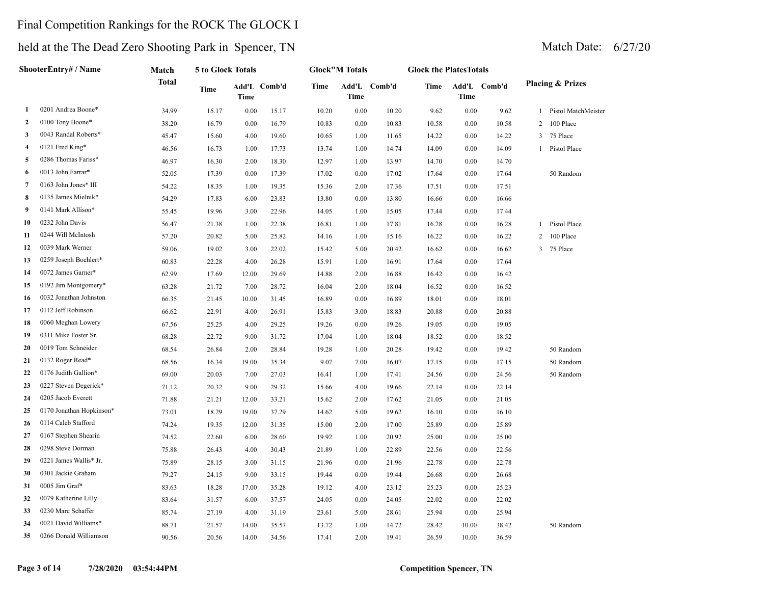## Final Competition Rankings for the ROCK The GLOCK I

## held at the The Dead Zero Shooting Park in Spencer, TN Match Date: 6/27/20

**ShooterEntry# / Name**

**Match** 

**5 to Glock Totals**

|        |                                |              | Match Date:                 |
|--------|--------------------------------|--------------|-----------------------------|
|        | <b>Glock the Plates Totals</b> |              |                             |
| Comb'd | Time                           | Add'L Comb'd | <b>Placing &amp; Prizes</b> |

|                |                          | <b>Total</b> | Time  | Time  | Add'L Comb'd | Time  | Time | Add'L Comb'd | Time  | Time  | Add'L Comb'd |                | <b>Placing &amp; Prizes</b> |
|----------------|--------------------------|--------------|-------|-------|--------------|-------|------|--------------|-------|-------|--------------|----------------|-----------------------------|
| 1              | 0201 Andrea Boone*       | 34.99        | 15.17 | 0.00  | 15.17        | 10.20 | 0.00 | 10.20        | 9.62  | 0.00  | 9.62         |                | 1 Pistol MatchMeister       |
| $\overline{2}$ | 0100 Tony Boone*         | 38.20        | 16.79 | 0.00  | 16.79        | 10.83 | 0.00 | 10.83        | 10.58 | 0.00  | 10.58        | $\overline{2}$ | 100 Place                   |
| 3              | 0043 Randal Roberts*     | 45.47        | 15.60 | 4.00  | 19.60        | 10.65 | 1.00 | 11.65        | 14.22 | 0.00  | 14.22        | 3              | 75 Place                    |
| $\overline{4}$ | 0121 Fred King*          | 46.56        | 16.73 | 1.00  | 17.73        | 13.74 | 1.00 | 14.74        | 14.09 | 0.00  | 14.09        |                | 1 Pistol Place              |
| 5              | 0286 Thomas Fariss*      | 46.97        | 16.30 | 2.00  | 18.30        | 12.97 | 1.00 | 13.97        | 14.70 | 0.00  | 14.70        |                |                             |
| 6              | 0013 John Farrar*        | 52.05        | 17.39 | 0.00  | 17.39        | 17.02 | 0.00 | 17.02        | 17.64 | 0.00  | 17.64        |                | 50 Random                   |
| 7              | 0163 John Jones* III     | 54.22        | 18.35 | 1.00  | 19.35        | 15.36 | 2.00 | 17.36        | 17.51 | 0.00  | 17.51        |                |                             |
| 8              | 0135 James Mielnik*      | 54.29        | 17.83 | 6.00  | 23.83        | 13.80 | 0.00 | 13.80        | 16.66 | 0.00  | 16.66        |                |                             |
| 9              | 0141 Mark Allison*       | 55.45        | 19.96 | 3.00  | 22.96        | 14.05 | 1.00 | 15.05        | 17.44 | 0.00  | 17.44        |                |                             |
| 10             | 0232 John Davis          | 56.47        | 21.38 | 1.00  | 22.38        | 16.81 | 1.00 | 17.81        | 16.28 | 0.00  | 16.28        |                | 1 Pistol Place              |
| 11             | 0244 Will McIntosh       | 57.20        | 20.82 | 5.00  | 25.82        | 14.16 | 1.00 | 15.16        | 16.22 | 0.00  | 16.22        | 2              | 100 Place                   |
| 12             | 0039 Mark Werner         | 59.06        | 19.02 | 3.00  | 22.02        | 15.42 | 5.00 | 20.42        | 16.62 | 0.00  | 16.62        | 3              | 75 Place                    |
| 13             | 0259 Joseph Boehlert*    | 60.83        | 22.28 | 4.00  | 26.28        | 15.91 | 1.00 | 16.91        | 17.64 | 0.00  | 17.64        |                |                             |
| 14             | 0072 James Garner*       | 62.99        | 17.69 | 12.00 | 29.69        | 14.88 | 2.00 | 16.88        | 16.42 | 0.00  | 16.42        |                |                             |
| 15             | 0192 Jim Montgomery*     | 63.28        | 21.72 | 7.00  | 28.72        | 16.04 | 2.00 | 18.04        | 16.52 | 0.00  | 16.52        |                |                             |
| 16             | 0032 Jonathan Johnston   | 66.35        | 21.45 | 10.00 | 31.45        | 16.89 | 0.00 | 16.89        | 18.01 | 0.00  | 18.01        |                |                             |
| 17             | 0112 Jeff Robinson       | 66.62        | 22.91 | 4.00  | 26.91        | 15.83 | 3.00 | 18.83        | 20.88 | 0.00  | 20.88        |                |                             |
| 18             | 0060 Meghan Lowery       | 67.56        | 25.25 | 4.00  | 29.25        | 19.26 | 0.00 | 19.26        | 19.05 | 0.00  | 19.05        |                |                             |
| 19             | 0311 Mike Foster Sr.     | 68.28        | 22.72 | 9.00  | 31.72        | 17.04 | 1.00 | 18.04        | 18.52 | 0.00  | 18.52        |                |                             |
| 20             | 0019 Tom Schneider       | 68.54        | 26.84 | 2.00  | 28.84        | 19.28 | 1.00 | 20.28        | 19.42 | 0.00  | 19.42        |                | 50 Random                   |
| 21             | 0132 Roger Read*         | 68.56        | 16.34 | 19.00 | 35.34        | 9.07  | 7.00 | 16.07        | 17.15 | 0.00  | 17.15        |                | 50 Random                   |
| 22             | 0176 Judith Gallion*     | 69.00        | 20.03 | 7.00  | 27.03        | 16.41 | 1.00 | 17.41        | 24.56 | 0.00  | 24.56        |                | 50 Random                   |
| 23             | 0227 Steven Degerick*    | 71.12        | 20.32 | 9.00  | 29.32        | 15.66 | 4.00 | 19.66        | 22.14 | 0.00  | 22.14        |                |                             |
| 24             | 0205 Jacob Everett       | 71.88        | 21.21 | 12.00 | 33.21        | 15.62 | 2.00 | 17.62        | 21.05 | 0.00  | 21.05        |                |                             |
| 25             | 0170 Jonathan Hopkinson* | 73.01        | 18.29 | 19.00 | 37.29        | 14.62 | 5.00 | 19.62        | 16.10 | 0.00  | 16.10        |                |                             |
| 26             | 0114 Caleb Stafford      | 74.24        | 19.35 | 12.00 | 31.35        | 15.00 | 2.00 | 17.00        | 25.89 | 0.00  | 25.89        |                |                             |
| 27             | 0167 Stephen Shearin     | 74.52        | 22.60 | 6.00  | 28.60        | 19.92 | 1.00 | 20.92        | 25.00 | 0.00  | 25.00        |                |                             |
| 28             | 0298 Steve Dorman        | 75.88        | 26.43 | 4.00  | 30.43        | 21.89 | 1.00 | 22.89        | 22.56 | 0.00  | 22.56        |                |                             |
| 29             | 0221 James Wallis* Jr.   | 75.89        | 28.15 | 3.00  | 31.15        | 21.96 | 0.00 | 21.96        | 22.78 | 0.00  | 22.78        |                |                             |
| 30             | 0301 Jackie Graham       | 79.27        | 24.15 | 9.00  | 33.15        | 19.44 | 0.00 | 19.44        | 26.68 | 0.00  | 26.68        |                |                             |
| 31             | 0005 Jim Graf*           | 83.63        | 18.28 | 17.00 | 35.28        | 19.12 | 4.00 | 23.12        | 25.23 | 0.00  | 25.23        |                |                             |
| 32             | 0079 Katherine Lilly     | 83.64        | 31.57 | 6.00  | 37.57        | 24.05 | 0.00 | 24.05        | 22.02 | 0.00  | 22.02        |                |                             |
| 33             | 0230 Marc Schaffer       | 85.74        | 27.19 | 4.00  | 31.19        | 23.61 | 5.00 | 28.61        | 25.94 | 0.00  | 25.94        |                |                             |
| 34             | 0021 David Williams*     | 88.71        | 21.57 | 14.00 | 35.57        | 13.72 | 1.00 | 14.72        | 28.42 | 10.00 | 38.42        |                | 50 Random                   |
| 35             | 0266 Donald Williamson   | 90.56        | 20.56 | 14.00 | 34.56        | 17.41 | 2.00 | 19.41        | 26.59 | 10.00 | 36.59        |                |                             |

**Glock"M Totals**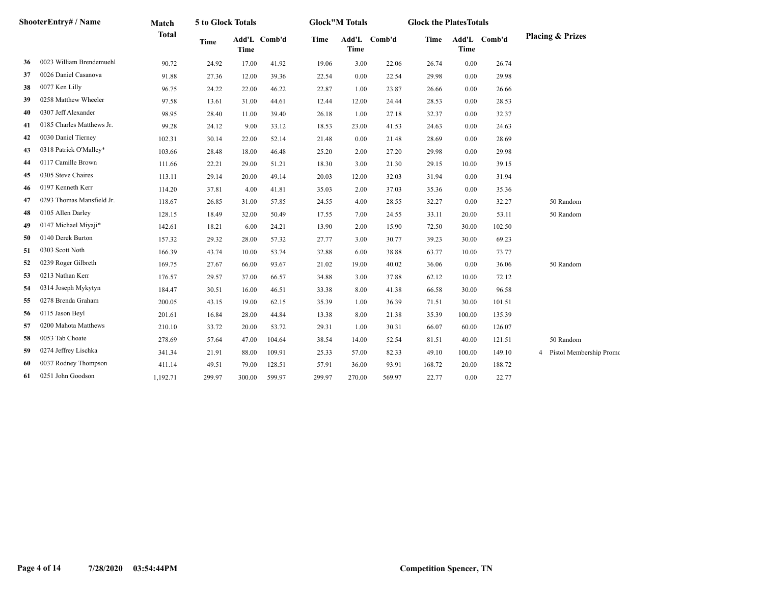|    | ShooterEntrv# / Name      | Match        | 5 to Glock Totals |                             |        |        | <b>Glock"M Totals</b> |              | <b>Glock the PlatesTotals</b> |        |              |                                           |
|----|---------------------------|--------------|-------------------|-----------------------------|--------|--------|-----------------------|--------------|-------------------------------|--------|--------------|-------------------------------------------|
|    |                           | <b>Total</b> | <b>Time</b>       | Add'L Comb'd<br><b>Time</b> |        | Time   | <b>Time</b>           | Add'L Comb'd | Time                          | Time   | Add'L Comb'd | <b>Placing &amp; Prizes</b>               |
| 36 | 0023 William Brendemuehl  | 90.72        | 24.92             | 17.00                       | 41.92  | 19.06  | 3.00                  | 22.06        | 26.74                         | 0.00   | 26.74        |                                           |
| 37 | 0026 Daniel Casanova      | 91.88        | 27.36             | 12.00                       | 39.36  | 22.54  | 0.00                  | 22.54        | 29.98                         | 0.00   | 29.98        |                                           |
| 38 | 0077 Ken Lilly            | 96.75        | 24.22             | 22.00                       | 46.22  | 22.87  | 1.00                  | 23.87        | 26.66                         | 0.00   | 26.66        |                                           |
| 39 | 0258 Matthew Wheeler      | 97.58        | 13.61             | 31.00                       | 44.61  | 12.44  | 12.00                 | 24.44        | 28.53                         | 0.00   | 28.53        |                                           |
| 40 | 0307 Jeff Alexander       | 98.95        | 28.40             | 11.00                       | 39.40  | 26.18  | 1.00                  | 27.18        | 32.37                         | 0.00   | 32.37        |                                           |
| 41 | 0185 Charles Matthews Jr. | 99.28        | 24.12             | 9.00                        | 33.12  | 18.53  | 23.00                 | 41.53        | 24.63                         | 0.00   | 24.63        |                                           |
| 42 | 0030 Daniel Tierney       | 102.31       | 30.14             | 22.00                       | 52.14  | 21.48  | 0.00                  | 21.48        | 28.69                         | 0.00   | 28.69        |                                           |
| 43 | 0318 Patrick O'Malley*    | 103.66       | 28.48             | 18.00                       | 46.48  | 25.20  | 2.00                  | 27.20        | 29.98                         | 0.00   | 29.98        |                                           |
| 44 | 0117 Camille Brown        | 111.66       | 22.21             | 29.00                       | 51.21  | 18.30  | 3.00                  | 21.30        | 29.15                         | 10.00  | 39.15        |                                           |
| 45 | 0305 Steve Chaires        | 113.11       | 29.14             | 20.00                       | 49.14  | 20.03  | 12.00                 | 32.03        | 31.94                         | 0.00   | 31.94        |                                           |
| 46 | 0197 Kenneth Kerr         | 114.20       | 37.81             | 4.00                        | 41.81  | 35.03  | 2.00                  | 37.03        | 35.36                         | 0.00   | 35.36        |                                           |
| 47 | 0293 Thomas Mansfield Jr. | 118.67       | 26.85             | 31.00                       | 57.85  | 24.55  | 4.00                  | 28.55        | 32.27                         | 0.00   | 32.27        | 50 Random                                 |
| 48 | 0105 Allen Darley         | 128.15       | 18.49             | 32.00                       | 50.49  | 17.55  | 7.00                  | 24.55        | 33.11                         | 20.00  | 53.11        | 50 Random                                 |
| 49 | 0147 Michael Miyaji*      | 142.61       | 18.21             | 6.00                        | 24.21  | 13.90  | 2.00                  | 15.90        | 72.50                         | 30.00  | 102.50       |                                           |
| 50 | 0140 Derek Burton         | 157.32       | 29.32             | 28.00                       | 57.32  | 27.77  | 3.00                  | 30.77        | 39.23                         | 30.00  | 69.23        |                                           |
| 51 | 0303 Scott Noth           | 166.39       | 43.74             | 10.00                       | 53.74  | 32.88  | 6.00                  | 38.88        | 63.77                         | 10.00  | 73.77        |                                           |
| 52 | 0239 Roger Gilbreth       | 169.75       | 27.67             | 66.00                       | 93.67  | 21.02  | 19.00                 | 40.02        | 36.06                         | 0.00   | 36.06        | 50 Random                                 |
| 53 | 0213 Nathan Kerr          | 176.57       | 29.57             | 37.00                       | 66.57  | 34.88  | 3.00                  | 37.88        | 62.12                         | 10.00  | 72.12        |                                           |
| 54 | 0314 Joseph Mykytyn       | 184.47       | 30.51             | 16.00                       | 46.51  | 33.38  | 8.00                  | 41.38        | 66.58                         | 30.00  | 96.58        |                                           |
| 55 | 0278 Brenda Graham        | 200.05       | 43.15             | 19.00                       | 62.15  | 35.39  | 1.00                  | 36.39        | 71.51                         | 30.00  | 101.51       |                                           |
| 56 | 0115 Jason Beyl           | 201.61       | 16.84             | 28.00                       | 44.84  | 13.38  | 8.00                  | 21.38        | 35.39                         | 100.00 | 135.39       |                                           |
| 57 | 0200 Mahota Matthews      | 210.10       | 33.72             | 20.00                       | 53.72  | 29.31  | 1.00                  | 30.31        | 66.07                         | 60.00  | 126.07       |                                           |
| 58 | 0053 Tab Choate           | 278.69       | 57.64             | 47.00                       | 104.64 | 38.54  | 14.00                 | 52.54        | 81.51                         | 40.00  | 121.51       | 50 Random                                 |
| 59 | 0274 Jeffrey Lischka      | 341.34       | 21.91             | 88.00                       | 109.91 | 25.33  | 57.00                 | 82.33        | 49.10                         | 100.00 | 149.10       | Pistol Membership Promo<br>$\overline{4}$ |
| 60 | 0037 Rodney Thompson      | 411.14       | 49.51             | 79.00                       | 128.51 | 57.91  | 36.00                 | 93.91        | 168.72                        | 20.00  | 188.72       |                                           |
| 61 | 0251 John Goodson         | 1,192.71     | 299.97            | 300.00                      | 599.97 | 299.97 | 270.00                | 569.97       | 22.77                         | 0.00   | 22.77        |                                           |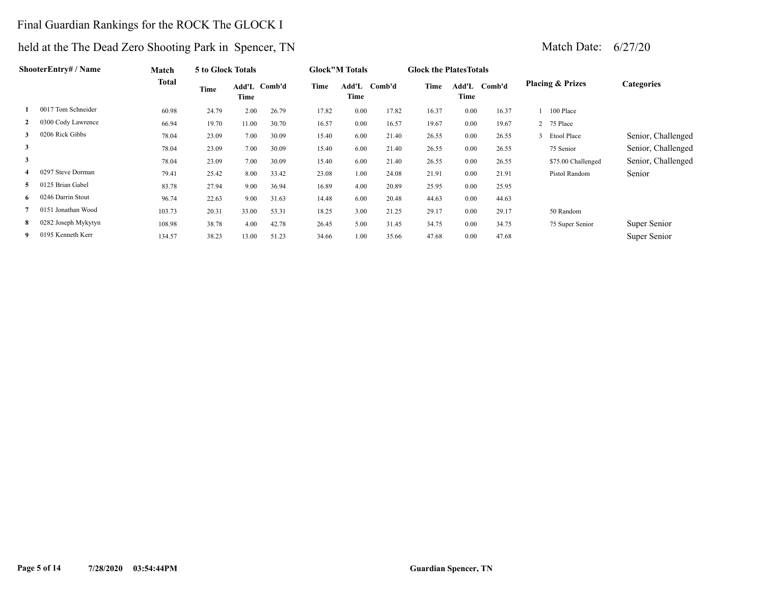### Final Guardian Rankings for the ROCK The GLOCK I

|              | ShooterEntry# / Name | Match        | 5 to Glock Totals |       |              |       | <b>Glock</b> "M Totals |              | <b>Glock the Plates Totals</b> |               |        |                             |                    |
|--------------|----------------------|--------------|-------------------|-------|--------------|-------|------------------------|--------------|--------------------------------|---------------|--------|-----------------------------|--------------------|
|              |                      | <b>Total</b> | Time              | Time  | Add'L Comb'd | Time  | Time                   | Add'L Comb'd | Time                           | Add'L<br>Time | Comb'd | <b>Placing &amp; Prizes</b> | <b>Categories</b>  |
|              | 0017 Tom Schneider   | 60.98        | 24.79             | 2.00  | 26.79        | 17.82 | 0.00                   | 17.82        | 16.37                          | 0.00          | 16.37  | 100 Place                   |                    |
|              | 0300 Cody Lawrence   | 66.94        | 19.70             | 11.00 | 30.70        | 16.57 | 0.00                   | 16.57        | 19.67                          | 0.00          | 19.67  | 2 75 Place                  |                    |
| 3            | 0206 Rick Gibbs      | 78.04        | 23.09             | 7.00  | 30.09        | 15.40 | 6.00                   | 21.40        | 26.55                          | 0.00          | 26.55  | 3 Etool Place               | Senior, Challenged |
| $\mathbf{3}$ |                      | 78.04        | 23.09             | 7.00  | 30.09        | 15.40 | 6.00                   | 21.40        | 26.55                          | 0.00          | 26.55  | 75 Senior                   | Senior, Challenged |
| $\mathbf{3}$ |                      | 78.04        | 23.09             | 7.00  | 30.09        | 15.40 | 6.00                   | 21.40        | 26.55                          | 0.00          | 26.55  | \$75.00 Challenged          | Senior, Challenged |
| 4            | 0297 Steve Dorman    | 79.41        | 25.42             | 8.00  | 33.42        | 23.08 | 1.00                   | 24.08        | 21.91                          | 0.00          | 21.91  | Pistol Random               | Senior             |
| 5.           | 0125 Brian Gabel     | 83.78        | 27.94             | 9.00  | 36.94        | 16.89 | 4.00                   | 20.89        | 25.95                          | 0.00          | 25.95  |                             |                    |
| 6            | 0246 Darrin Stout    | 96.74        | 22.63             | 9.00  | 31.63        | 14.48 | 6.00                   | 20.48        | 44.63                          | 0.00          | 44.63  |                             |                    |
|              | 0151 Jonathan Wood   | 103.73       | 20.31             | 33.00 | 53.31        | 18.25 | 3.00                   | 21.25        | 29.17                          | 0.00          | 29.17  | 50 Random                   |                    |
| 8            | 0282 Joseph Mykytyn  | 108.98       | 38.78             | 4.00  | 42.78        | 26.45 | 5.00                   | 31.45        | 34.75                          | 0.00          | 34.75  | 75 Super Senior             | Super Senior       |
| 9            | 0195 Kenneth Kerr    | 134.57       | 38.23             | 13.00 | 51.23        | 34.66 | 1.00                   | 35.66        | 47.68                          | 0.00          | 47.68  |                             | Super Senior       |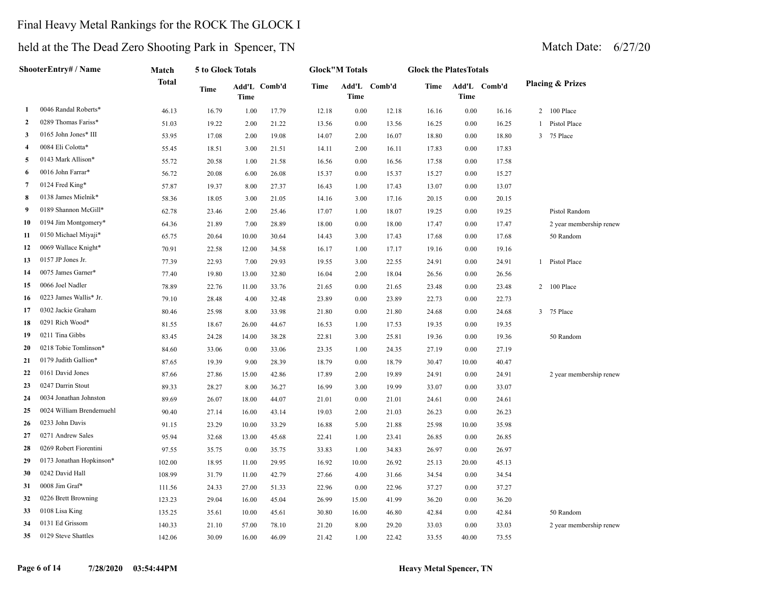## Final Heavy Metal Rankings for the ROCK The GLOCK I

|                | ShooterEntry# / Name     | Match  | 5 to Glock Totals |             |              |       | <b>Glock"M Totals</b> |              | <b>Glock the PlatesTotals</b> |          |              |                             |
|----------------|--------------------------|--------|-------------------|-------------|--------------|-------|-----------------------|--------------|-------------------------------|----------|--------------|-----------------------------|
|                |                          | Total  | Time              | <b>Time</b> | Add'L Comb'd | Time  | <b>Time</b>           | Add'L Comb'd | Time                          | Time     | Add'L Comb'd | <b>Placing &amp; Prizes</b> |
| -1             | 0046 Randal Roberts*     | 46.13  | 16.79             | 1.00        | 17.79        | 12.18 | $0.00\,$              | 12.18        | 16.16                         | 0.00     | 16.16        | 2 100 Place                 |
| 2              | 0289 Thomas Fariss*      | 51.03  | 19.22             | 2.00        | 21.22        | 13.56 | 0.00                  | 13.56        | 16.25                         | 0.00     | 16.25        | 1 Pistol Place              |
| 3              | 0165 John Jones* III     | 53.95  | 17.08             | 2.00        | 19.08        | 14.07 | 2.00                  | 16.07        | 18.80                         | 0.00     | 18.80        | 3 75 Place                  |
| $\overline{4}$ | 0084 Eli Colotta*        | 55.45  | 18.51             | 3.00        | 21.51        | 14.11 | 2.00                  | 16.11        | 17.83                         | 0.00     | 17.83        |                             |
| 5              | 0143 Mark Allison*       | 55.72  | 20.58             | 1.00        | 21.58        | 16.56 | 0.00                  | 16.56        | 17.58                         | 0.00     | 17.58        |                             |
| 6              | 0016 John Farrar*        | 56.72  | 20.08             | 6.00        | 26.08        | 15.37 | 0.00                  | 15.37        | 15.27                         | 0.00     | 15.27        |                             |
| 7              | 0124 Fred King*          | 57.87  | 19.37             | 8.00        | 27.37        | 16.43 | 1.00                  | 17.43        | 13.07                         | 0.00     | 13.07        |                             |
| 8              | 0138 James Mielnik*      | 58.36  | 18.05             | 3.00        | 21.05        | 14.16 | 3.00                  | 17.16        | 20.15                         | 0.00     | 20.15        |                             |
| -9             | 0189 Shannon McGill*     | 62.78  | 23.46             | 2.00        | 25.46        | 17.07 | 1.00                  | 18.07        | 19.25                         | 0.00     | 19.25        | Pistol Random               |
| 10             | 0194 Jim Montgomery*     | 64.36  | 21.89             | 7.00        | 28.89        | 18.00 | 0.00                  | 18.00        | 17.47                         | 0.00     | 17.47        | 2 year membership renew     |
| 11             | 0150 Michael Miyaji*     | 65.75  | 20.64             | 10.00       | 30.64        | 14.43 | 3.00                  | 17.43        | 17.68                         | 0.00     | 17.68        | 50 Random                   |
| 12             | 0069 Wallace Knight*     | 70.91  | 22.58             | 12.00       | 34.58        | 16.17 | 1.00                  | 17.17        | 19.16                         | 0.00     | 19.16        |                             |
| 13             | 0157 JP Jones Jr.        | 77.39  | 22.93             | 7.00        | 29.93        | 19.55 | 3.00                  | 22.55        | 24.91                         | 0.00     | 24.91        | 1 Pistol Place              |
| 14             | 0075 James Garner*       | 77.40  | 19.80             | 13.00       | 32.80        | 16.04 | 2.00                  | 18.04        | 26.56                         | 0.00     | 26.56        |                             |
| 15             | 0066 Joel Nadler         | 78.89  | 22.76             | 11.00       | 33.76        | 21.65 | 0.00                  | 21.65        | 23.48                         | 0.00     | 23.48        | 2 100 Place                 |
| 16             | 0223 James Wallis* Jr.   | 79.10  | 28.48             | 4.00        | 32.48        | 23.89 | 0.00                  | 23.89        | 22.73                         | 0.00     | 22.73        |                             |
| 17             | 0302 Jackie Graham       | 80.46  | 25.98             | 8.00        | 33.98        | 21.80 | 0.00                  | 21.80        | 24.68                         | $0.00\,$ | 24.68        | 3 75 Place                  |
| 18             | 0291 Rich Wood*          | 81.55  | 18.67             | 26.00       | 44.67        | 16.53 | 1.00                  | 17.53        | 19.35                         | 0.00     | 19.35        |                             |
| 19             | 0211 Tina Gibbs          | 83.45  | 24.28             | 14.00       | 38.28        | 22.81 | 3.00                  | 25.81        | 19.36                         | 0.00     | 19.36        | 50 Random                   |
| 20             | 0218 Tobie Tomlinson*    | 84.60  | 33.06             | 0.00        | 33.06        | 23.35 | 1.00                  | 24.35        | 27.19                         | 0.00     | 27.19        |                             |
| 21             | 0179 Judith Gallion*     | 87.65  | 19.39             | 9.00        | 28.39        | 18.79 | 0.00                  | 18.79        | 30.47                         | 10.00    | 40.47        |                             |
| 22             | 0161 David Jones         | 87.66  | 27.86             | 15.00       | 42.86        | 17.89 | 2.00                  | 19.89        | 24.91                         | 0.00     | 24.91        | 2 year membership renew     |
| 23             | 0247 Darrin Stout        | 89.33  | 28.27             | 8.00        | 36.27        | 16.99 | 3.00                  | 19.99        | 33.07                         | 0.00     | 33.07        |                             |
| 24             | 0034 Jonathan Johnston   | 89.69  | 26.07             | 18.00       | 44.07        | 21.01 | 0.00                  | 21.01        | 24.61                         | 0.00     | 24.61        |                             |
| 25             | 0024 William Brendemuehl | 90.40  | 27.14             | 16.00       | 43.14        | 19.03 | 2.00                  | 21.03        | 26.23                         | 0.00     | 26.23        |                             |
| 26             | 0233 John Davis          | 91.15  | 23.29             | 10.00       | 33.29        | 16.88 | 5.00                  | 21.88        | 25.98                         | 10.00    | 35.98        |                             |
| 27             | 0271 Andrew Sales        | 95.94  | 32.68             | 13.00       | 45.68        | 22.41 | 1.00                  | 23.41        | 26.85                         | 0.00     | 26.85        |                             |
| 28             | 0269 Robert Fiorentini   | 97.55  | 35.75             | 0.00        | 35.75        | 33.83 | 1.00                  | 34.83        | 26.97                         | 0.00     | 26.97        |                             |
| 29             | 0173 Jonathan Hopkinson* | 102.00 | 18.95             | 11.00       | 29.95        | 16.92 | 10.00                 | 26.92        | 25.13                         | 20.00    | 45.13        |                             |
| 30             | 0242 David Hall          | 108.99 | 31.79             | 11.00       | 42.79        | 27.66 | 4.00                  | 31.66        | 34.54                         | 0.00     | 34.54        |                             |
| 31             | 0008 Jim Graf*           | 111.56 | 24.33             | 27.00       | 51.33        | 22.96 | 0.00                  | 22.96        | 37.27                         | 0.00     | 37.27        |                             |
| 32             | 0226 Brett Browning      | 123.23 | 29.04             | 16.00       | 45.04        | 26.99 | 15.00                 | 41.99        | 36.20                         | 0.00     | 36.20        |                             |
| 33             | 0108 Lisa King           | 135.25 | 35.61             | 10.00       | 45.61        | 30.80 | 16.00                 | 46.80        | 42.84                         | 0.00     | 42.84        | 50 Random                   |
| 34             | 0131 Ed Grissom          | 140.33 | 21.10             | 57.00       | 78.10        | 21.20 | 8.00                  | 29.20        | 33.03                         | 0.00     | 33.03        | 2 year membership renew     |
| 35             | 0129 Steve Shattles      | 142.06 | 30.09             | 16.00       | 46.09        | 21.42 | 1.00                  | 22.42        | 33.55                         | 40.00    | 73.55        |                             |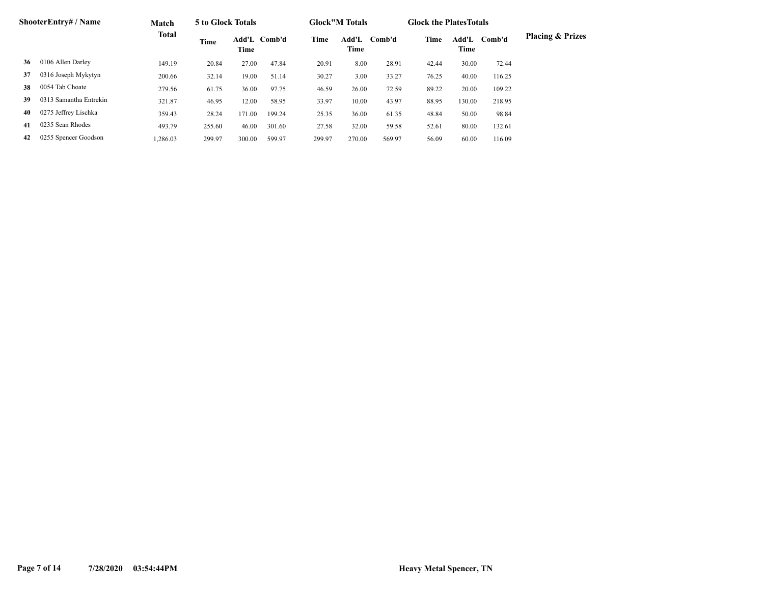|    | <b>ShooterEntry# / Name</b> | Match        | 5 to Glock Totals |        |              |        | <b>Glock</b> "M Totals |        | <b>Glock the Plates Totals</b> |               |        |                             |
|----|-----------------------------|--------------|-------------------|--------|--------------|--------|------------------------|--------|--------------------------------|---------------|--------|-----------------------------|
|    |                             | <b>Total</b> | Time              | Time   | Add'L Comb'd | Time   | Add'L<br>Time          | Comb'd | Time                           | Add'L<br>Time | Comb'd | <b>Placing &amp; Prizes</b> |
| 36 | 0106 Allen Darley           | 149.19       | 20.84             | 27.00  | 47.84        | 20.91  | 8.00                   | 28.91  | 42.44                          | 30.00         | 72.44  |                             |
| 37 | 0316 Joseph Mykytyn         | 200.66       | 32.14             | 19.00  | 51.14        | 30.27  | 3.00                   | 33.27  | 76.25                          | 40.00         | 116.25 |                             |
| 38 | 0054 Tab Choate             | 279.56       | 61.75             | 36.00  | 97.75        | 46.59  | 26.00                  | 72.59  | 89.22                          | 20.00         | 109.22 |                             |
| 39 | 0313 Samantha Entrekin      | 321.87       | 46.95             | 12.00  | 58.95        | 33.97  | 10.00                  | 43.97  | 88.95                          | 130.00        | 218.95 |                             |
| 40 | 0275 Jeffrey Lischka        | 359.43       | 28.24             | 171.00 | 199.24       | 25.35  | 36.00                  | 61.35  | 48.84                          | 50.00         | 98.84  |                             |
| 41 | 0235 Sean Rhodes            | 493.79       | 255.60            | 46.00  | 301.60       | 27.58  | 32.00                  | 59.58  | 52.61                          | 80.00         | 132.61 |                             |
| 42 | 0255 Spencer Goodson        | 1.286.03     | 299.97            | 300.00 | 599.97       | 299.97 | 270.00                 | 569.97 | 56.09                          | 60.00         | 116.09 |                             |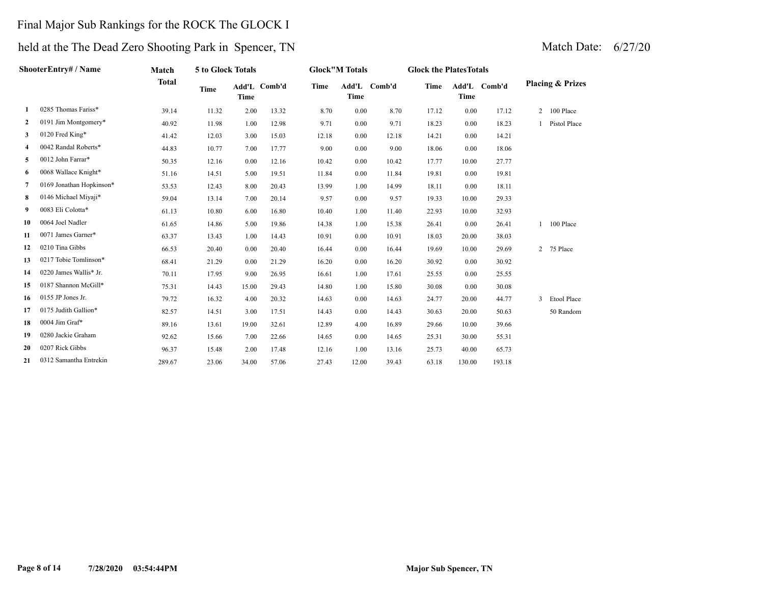## Final Major Sub Rankings for the ROCK The GLOCK I

|    | ShooterEntrv# / Name     | Match        | 5 to Glock Totals |       |              |             | <b>Glock</b> "M Totals |              | <b>Glock the PlatesTotals</b> |             |              |                |                             |
|----|--------------------------|--------------|-------------------|-------|--------------|-------------|------------------------|--------------|-------------------------------|-------------|--------------|----------------|-----------------------------|
|    |                          | <b>Total</b> | Time              | Time  | Add'L Comb'd | <b>Time</b> | <b>Time</b>            | Add'L Comb'd | <b>Time</b>                   | <b>Time</b> | Add'L Comb'd |                | <b>Placing &amp; Prizes</b> |
| 1  | 0285 Thomas Fariss*      | 39.14        | 11.32             | 2.00  | 13.32        | 8.70        | 0.00                   | 8.70         | 17.12                         | 0.00        | 17.12        | $\overline{2}$ | 100 Place                   |
| 2  | 0191 Jim Montgomery*     | 40.92        | 11.98             | 1.00  | 12.98        | 9.71        | 0.00                   | 9.71         | 18.23                         | 0.00        | 18.23        |                | Pistol Place                |
| 3  | 0120 Fred King*          | 41.42        | 12.03             | 3.00  | 15.03        | 12.18       | 0.00                   | 12.18        | 14.21                         | 0.00        | 14.21        |                |                             |
| 4  | 0042 Randal Roberts*     | 44.83        | 10.77             | 7.00  | 17.77        | 9.00        | 0.00                   | 9.00         | 18.06                         | 0.00        | 18.06        |                |                             |
| 5  | 0012 John Farrar*        | 50.35        | 12.16             | 0.00  | 12.16        | 10.42       | 0.00                   | 10.42        | 17.77                         | 10.00       | 27.77        |                |                             |
| 6  | 0068 Wallace Knight*     | 51.16        | 14.51             | 5.00  | 19.51        | 11.84       | 0.00                   | 11.84        | 19.81                         | 0.00        | 19.81        |                |                             |
| 7  | 0169 Jonathan Hopkinson* | 53.53        | 12.43             | 8.00  | 20.43        | 13.99       | 1.00                   | 14.99        | 18.11                         | 0.00        | 18.11        |                |                             |
| 8  | 0146 Michael Miyaji*     | 59.04        | 13.14             | 7.00  | 20.14        | 9.57        | 0.00                   | 9.57         | 19.33                         | 10.00       | 29.33        |                |                             |
| 9  | 0083 Eli Colotta*        | 61.13        | 10.80             | 6.00  | 16.80        | 10.40       | 1.00                   | 11.40        | 22.93                         | 10.00       | 32.93        |                |                             |
| 10 | 0064 Joel Nadler         | 61.65        | 14.86             | 5.00  | 19.86        | 14.38       | 1.00                   | 15.38        | 26.41                         | 0.00        | 26.41        |                | 100 Place                   |
| 11 | 0071 James Garner*       | 63.37        | 13.43             | 1.00  | 14.43        | 10.91       | 0.00                   | 10.91        | 18.03                         | 20.00       | 38.03        |                |                             |
| 12 | 0210 Tina Gibbs          | 66.53        | 20.40             | 0.00  | 20.40        | 16.44       | 0.00                   | 16.44        | 19.69                         | 10.00       | 29.69        | $\overline{2}$ | 75 Place                    |
| 13 | 0217 Tobie Tomlinson*    | 68.41        | 21.29             | 0.00  | 21.29        | 16.20       | 0.00                   | 16.20        | 30.92                         | 0.00        | 30.92        |                |                             |
| 14 | 0220 James Wallis* Jr.   | 70.11        | 17.95             | 9.00  | 26.95        | 16.61       | 1.00                   | 17.61        | 25.55                         | 0.00        | 25.55        |                |                             |
| 15 | 0187 Shannon McGill*     | 75.31        | 14.43             | 15.00 | 29.43        | 14.80       | 1.00                   | 15.80        | 30.08                         | 0.00        | 30.08        |                |                             |
| 16 | 0155 JP Jones Jr.        | 79.72        | 16.32             | 4.00  | 20.32        | 14.63       | 0.00                   | 14.63        | 24.77                         | 20.00       | 44.77        | 3              | Etool Place                 |
| 17 | 0175 Judith Gallion*     | 82.57        | 14.51             | 3.00  | 17.51        | 14.43       | 0.00                   | 14.43        | 30.63                         | 20.00       | 50.63        |                | 50 Random                   |
| 18 | 0004 Jim Graf*           | 89.16        | 13.61             | 19.00 | 32.61        | 12.89       | 4.00                   | 16.89        | 29.66                         | 10.00       | 39.66        |                |                             |
| 19 | 0280 Jackie Graham       | 92.62        | 15.66             | 7.00  | 22.66        | 14.65       | 0.00                   | 14.65        | 25.31                         | 30.00       | 55.31        |                |                             |
| 20 | 0207 Rick Gibbs          | 96.37        | 15.48             | 2.00  | 17.48        | 12.16       | 1.00                   | 13.16        | 25.73                         | 40.00       | 65.73        |                |                             |
| 21 | 0312 Samantha Entrekin   | 289.67       | 23.06             | 34.00 | 57.06        | 27.43       | 12.00                  | 39.43        | 63.18                         | 130.00      | 193.18       |                |                             |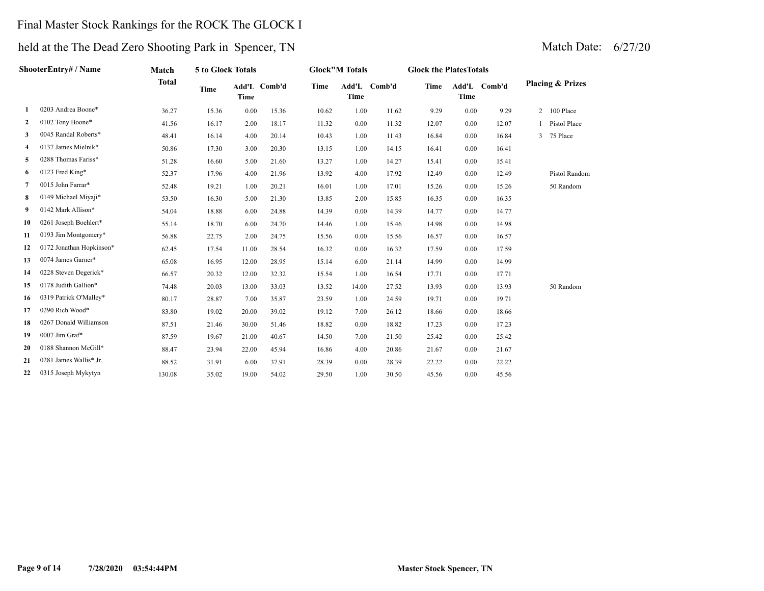## Final Master Stock Rankings for the ROCK The GLOCK I

| ShooterEntry# / Name     | Match        | 5 to Glock Totals |             |       | <b>Glock"M Totals</b>         |                      |       | <b>Glock the PlatesTotals</b>                                                                                                                                                           |             |       |                                                                                                                                                                                      |                             |
|--------------------------|--------------|-------------------|-------------|-------|-------------------------------|----------------------|-------|-----------------------------------------------------------------------------------------------------------------------------------------------------------------------------------------|-------------|-------|--------------------------------------------------------------------------------------------------------------------------------------------------------------------------------------|-----------------------------|
|                          | <b>Total</b> | <b>Time</b>       | <b>Time</b> |       | <b>Time</b>                   | Add'L<br><b>Time</b> |       | Time                                                                                                                                                                                    | <b>Time</b> |       |                                                                                                                                                                                      | <b>Placing &amp; Prizes</b> |
| 0203 Andrea Boone*       | 36.27        | 15.36             | 0.00        | 15.36 | 10.62                         |                      | 11.62 | 9.29                                                                                                                                                                                    |             | 9.29  | $\overline{2}$                                                                                                                                                                       | 100 Place                   |
| 0102 Tony Boone*         | 41.56        | 16.17             | 2.00        | 18.17 | 11.32                         |                      | 11.32 | 12.07                                                                                                                                                                                   |             | 12.07 |                                                                                                                                                                                      | Pistol Place                |
| 0045 Randal Roberts*     | 48.41        | 16.14             | 4.00        | 20.14 | 10.43                         |                      | 11.43 | 16.84                                                                                                                                                                                   |             | 16.84 | 3                                                                                                                                                                                    | 75 Place                    |
| 0137 James Mielnik*      | 50.86        | 17.30             | 3.00        | 20.30 | 13.15                         |                      | 14.15 | 16.41                                                                                                                                                                                   |             | 16.41 |                                                                                                                                                                                      |                             |
| 0288 Thomas Fariss*      | 51.28        | 16.60             |             | 21.60 | 13.27                         |                      | 14.27 | 15.41                                                                                                                                                                                   |             | 15.41 |                                                                                                                                                                                      |                             |
| 0123 Fred King*          | 52.37        | 17.96             | 4.00        | 21.96 | 13.92                         |                      | 17.92 | 12.49                                                                                                                                                                                   |             | 12.49 |                                                                                                                                                                                      | Pistol Random               |
| 0015 John Farrar*        | 52.48        | 19.21             | 1.00        | 20.21 | 16.01                         |                      | 17.01 | 15.26                                                                                                                                                                                   |             | 15.26 |                                                                                                                                                                                      | 50 Random                   |
| 0149 Michael Miyaji*     | 53.50        | 16.30             | 5.00        | 21.30 | 13.85                         |                      | 15.85 | 16.35                                                                                                                                                                                   |             | 16.35 |                                                                                                                                                                                      |                             |
| 0142 Mark Allison*       | 54.04        | 18.88             | 6.00        | 24.88 | 14.39                         |                      | 14.39 | 14.77                                                                                                                                                                                   |             | 14.77 |                                                                                                                                                                                      |                             |
| 0261 Joseph Boehlert*    | 55.14        | 18.70             | 6.00        | 24.70 | 14.46                         |                      | 15.46 | 14.98                                                                                                                                                                                   |             | 14.98 |                                                                                                                                                                                      |                             |
| 0193 Jim Montgomery*     | 56.88        | 22.75             | 2.00        | 24.75 | 15.56                         |                      | 15.56 | 16.57                                                                                                                                                                                   |             | 16.57 |                                                                                                                                                                                      |                             |
| 0172 Jonathan Hopkinson* | 62.45        | 17.54             | 11.00       | 28.54 | 16.32                         |                      | 16.32 | 17.59                                                                                                                                                                                   |             | 17.59 |                                                                                                                                                                                      |                             |
| 0074 James Garner*       | 65.08        | 16.95             | 12.00       | 28.95 | 15.14                         |                      | 21.14 | 14.99                                                                                                                                                                                   |             | 14.99 |                                                                                                                                                                                      |                             |
| 0228 Steven Degerick*    | 66.57        | 20.32             | 12.00       | 32.32 | 15.54                         |                      | 16.54 | 17.71                                                                                                                                                                                   |             | 17.71 |                                                                                                                                                                                      |                             |
| 0178 Judith Gallion*     | 74.48        | 20.03             | 13.00       | 33.03 | 13.52                         |                      | 27.52 | 13.93                                                                                                                                                                                   |             | 13.93 |                                                                                                                                                                                      | 50 Random                   |
| 0319 Patrick O'Malley*   | 80.17        | 28.87             | 7.00        | 35.87 | 23.59                         |                      | 24.59 | 19.71                                                                                                                                                                                   |             | 19.71 |                                                                                                                                                                                      |                             |
| 0290 Rich Wood*          | 83.80        | 19.02             | 20.00       | 39.02 | 19.12                         |                      | 26.12 | 18.66                                                                                                                                                                                   |             | 18.66 |                                                                                                                                                                                      |                             |
| 0267 Donald Williamson   | 87.51        | 21.46             | 30.00       | 51.46 | 18.82                         |                      | 18.82 | 17.23                                                                                                                                                                                   |             | 17.23 |                                                                                                                                                                                      |                             |
| $0007$ Jim Graf*         | 87.59        | 19.67             | 21.00       | 40.67 | 14.50                         |                      | 21.50 | 25.42                                                                                                                                                                                   |             | 25.42 |                                                                                                                                                                                      |                             |
| 0188 Shannon McGill*     | 88.47        | 23.94             | 22.00       | 45.94 | 16.86                         |                      | 20.86 | 21.67                                                                                                                                                                                   |             | 21.67 |                                                                                                                                                                                      |                             |
| 0281 James Wallis* Jr.   | 88.52        | 31.91             | 6.00        | 37.91 | 28.39                         |                      | 28.39 | 22.22                                                                                                                                                                                   |             | 22.22 |                                                                                                                                                                                      |                             |
| 0315 Joseph Mykytyn      | 130.08       | 35.02             |             | 54.02 | 29.50                         |                      | 30.50 | 45.56                                                                                                                                                                                   | 0.00        | 45.56 |                                                                                                                                                                                      |                             |
|                          |              |                   |             |       | Add'L Comb'd<br>5.00<br>19.00 |                      |       | Comb'd<br>1.00<br>0.00<br>1.00<br>1.00<br>1.00<br>4.00<br>1.00<br>2.00<br>0.00<br>1.00<br>0.00<br>0.00<br>6.00<br>1.00<br>14.00<br>1.00<br>7.00<br>0.00<br>7.00<br>4.00<br>0.00<br>1.00 |             |       | Add'L Comb'd<br>0.00<br>0.00<br>0.00<br>0.00<br>0.00<br>0.00<br>0.00<br>0.00<br>0.00<br>0.00<br>0.00<br>0.00<br>0.00<br>0.00<br>0.00<br>0.00<br>0.00<br>0.00<br>0.00<br>0.00<br>0.00 |                             |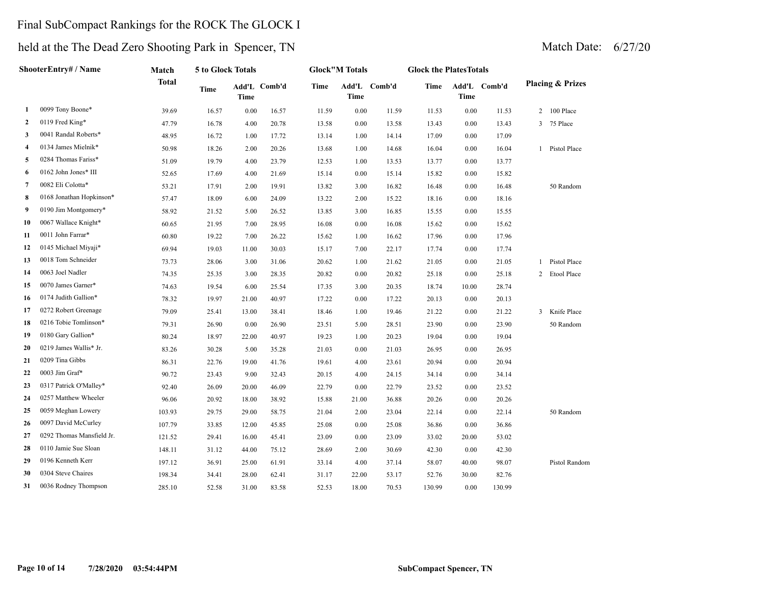## Final SubCompact Rankings for the ROCK The GLOCK I

| ShooterEntry# / Name |                           | Match        | 5 to Glock Totals |       |              | <b>Glock"M Totals</b> |             |              | <b>Glock the PlatesTotals</b> |             |              |  |                             |
|----------------------|---------------------------|--------------|-------------------|-------|--------------|-----------------------|-------------|--------------|-------------------------------|-------------|--------------|--|-----------------------------|
|                      |                           | <b>Total</b> | Time              | Time  | Add'L Comb'd | Time                  | <b>Time</b> | Add'L Comb'd | Time                          | <b>Time</b> | Add'L Comb'd |  | <b>Placing &amp; Prizes</b> |
| 1                    | 0099 Tony Boone*          | 39.69        | 16.57             | 0.00  | 16.57        | 11.59                 | $0.00\,$    | 11.59        | 11.53                         | 0.00        | 11.53        |  | 2 100 Place                 |
| 2                    | 0119 Fred King*           | 47.79        | 16.78             | 4.00  | 20.78        | 13.58                 | 0.00        | 13.58        | 13.43                         | 0.00        | 13.43        |  | 3 75 Place                  |
| 3                    | 0041 Randal Roberts*      | 48.95        | 16.72             | 1.00  | 17.72        | 13.14                 | 1.00        | 14.14        | 17.09                         | 0.00        | 17.09        |  |                             |
| 4                    | 0134 James Mielnik*       | 50.98        | 18.26             | 2.00  | 20.26        | 13.68                 | 1.00        | 14.68        | 16.04                         | 0.00        | 16.04        |  | 1 Pistol Place              |
| 5                    | 0284 Thomas Fariss*       | 51.09        | 19.79             | 4.00  | 23.79        | 12.53                 | 1.00        | 13.53        | 13.77                         | 0.00        | 13.77        |  |                             |
| 6                    | 0162 John Jones* III      | 52.65        | 17.69             | 4.00  | 21.69        | 15.14                 | 0.00        | 15.14        | 15.82                         | 0.00        | 15.82        |  |                             |
| 7                    | 0082 Eli Colotta*         | 53.21        | 17.91             | 2.00  | 19.91        | 13.82                 | 3.00        | 16.82        | 16.48                         | 0.00        | 16.48        |  | 50 Random                   |
| 8                    | 0168 Jonathan Hopkinson*  | 57.47        | 18.09             | 6.00  | 24.09        | 13.22                 | 2.00        | 15.22        | 18.16                         | 0.00        | 18.16        |  |                             |
| 9                    | 0190 Jim Montgomery*      | 58.92        | 21.52             | 5.00  | 26.52        | 13.85                 | 3.00        | 16.85        | 15.55                         | 0.00        | 15.55        |  |                             |
| 10                   | 0067 Wallace Knight*      | 60.65        | 21.95             | 7.00  | 28.95        | 16.08                 | 0.00        | 16.08        | 15.62                         | 0.00        | 15.62        |  |                             |
| 11                   | 0011 John Farrar*         | 60.80        | 19.22             | 7.00  | 26.22        | 15.62                 | 1.00        | 16.62        | 17.96                         | 0.00        | 17.96        |  |                             |
| 12                   | 0145 Michael Miyaji*      | 69.94        | 19.03             | 11.00 | 30.03        | 15.17                 | 7.00        | 22.17        | 17.74                         | 0.00        | 17.74        |  |                             |
| 13                   | 0018 Tom Schneider        | 73.73        | 28.06             | 3.00  | 31.06        | 20.62                 | 1.00        | 21.62        | 21.05                         | 0.00        | 21.05        |  | 1 Pistol Place              |
| 14                   | 0063 Joel Nadler          | 74.35        | 25.35             | 3.00  | 28.35        | 20.82                 | 0.00        | 20.82        | 25.18                         | 0.00        | 25.18        |  | 2 Etool Place               |
| 15                   | 0070 James Garner*        | 74.63        | 19.54             | 6.00  | 25.54        | 17.35                 | 3.00        | 20.35        | 18.74                         | 10.00       | 28.74        |  |                             |
| 16                   | 0174 Judith Gallion*      | 78.32        | 19.97             | 21.00 | 40.97        | 17.22                 | 0.00        | 17.22        | 20.13                         | 0.00        | 20.13        |  |                             |
| 17                   | 0272 Robert Greenage      | 79.09        | 25.41             | 13.00 | 38.41        | 18.46                 | 1.00        | 19.46        | 21.22                         | 0.00        | 21.22        |  | 3 Knife Place               |
| 18                   | 0216 Tobie Tomlinson*     | 79.31        | 26.90             | 0.00  | 26.90        | 23.51                 | 5.00        | 28.51        | 23.90                         | 0.00        | 23.90        |  | 50 Random                   |
| 19                   | 0180 Gary Gallion*        | 80.24        | 18.97             | 22.00 | 40.97        | 19.23                 | 1.00        | 20.23        | 19.04                         | 0.00        | 19.04        |  |                             |
| 20                   | 0219 James Wallis* Jr.    | 83.26        | 30.28             | 5.00  | 35.28        | 21.03                 | 0.00        | 21.03        | 26.95                         | 0.00        | 26.95        |  |                             |
| 21                   | 0209 Tina Gibbs           | 86.31        | 22.76             | 19.00 | 41.76        | 19.61                 | 4.00        | 23.61        | 20.94                         | 0.00        | 20.94        |  |                             |
| 22                   | 0003 Jim Graf*            | 90.72        | 23.43             | 9.00  | 32.43        | 20.15                 | 4.00        | 24.15        | 34.14                         | 0.00        | 34.14        |  |                             |
| 23                   | 0317 Patrick O'Malley*    | 92.40        | 26.09             | 20.00 | 46.09        | 22.79                 | 0.00        | 22.79        | 23.52                         | 0.00        | 23.52        |  |                             |
| 24                   | 0257 Matthew Wheeler      | 96.06        | 20.92             | 18.00 | 38.92        | 15.88                 | 21.00       | 36.88        | 20.26                         | 0.00        | 20.26        |  |                             |
| 25                   | 0059 Meghan Lowery        | 103.93       | 29.75             | 29.00 | 58.75        | 21.04                 | 2.00        | 23.04        | 22.14                         | 0.00        | 22.14        |  | 50 Random                   |
| 26                   | 0097 David McCurley       | 107.79       | 33.85             | 12.00 | 45.85        | 25.08                 | 0.00        | 25.08        | 36.86                         | 0.00        | 36.86        |  |                             |
| 27                   | 0292 Thomas Mansfield Jr. | 121.52       | 29.41             | 16.00 | 45.41        | 23.09                 | 0.00        | 23.09        | 33.02                         | 20.00       | 53.02        |  |                             |
| 28                   | 0110 Jamie Sue Sloan      | 148.11       | 31.12             | 44.00 | 75.12        | 28.69                 | 2.00        | 30.69        | 42.30                         | 0.00        | 42.30        |  |                             |
| 29                   | 0196 Kenneth Kerr         | 197.12       | 36.91             | 25.00 | 61.91        | 33.14                 | 4.00        | 37.14        | 58.07                         | 40.00       | 98.07        |  | Pistol Random               |
| 30                   | 0304 Steve Chaires        | 198.34       | 34.41             | 28.00 | 62.41        | 31.17                 | 22.00       | 53.17        | 52.76                         | 30.00       | 82.76        |  |                             |
| 31                   | 0036 Rodney Thompson      | 285.10       | 52.58             | 31.00 | 83.58        | 52.53                 | 18.00       | 70.53        | 130.99                        | 0.00        | 130.99       |  |                             |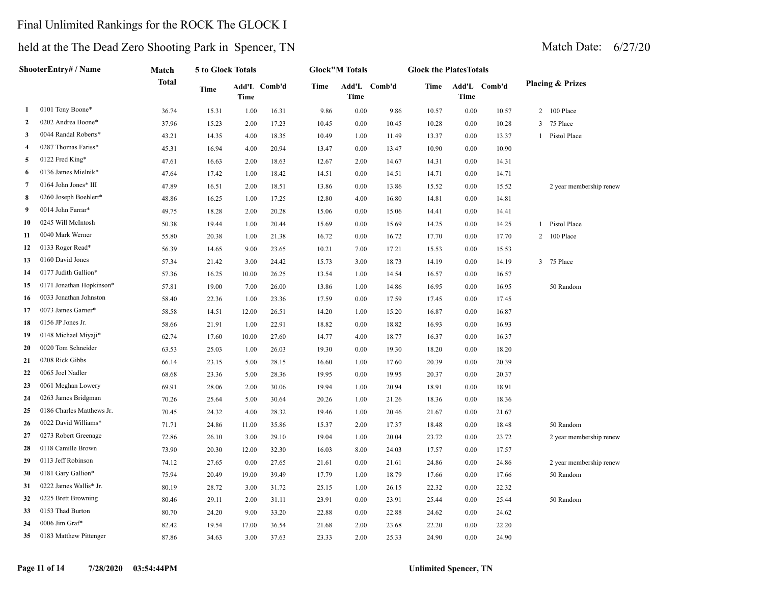## Final Unlimited Rankings for the ROCK The GLOCK I

| ShooterEntry# / Name |                           | Match        | 5 to Glock Totals |             |              | <b>Glock"M Totals</b> |          |              | <b>Glock the PlatesTotals</b> |          |              |                             |  |  |
|----------------------|---------------------------|--------------|-------------------|-------------|--------------|-----------------------|----------|--------------|-------------------------------|----------|--------------|-----------------------------|--|--|
|                      |                           | <b>Total</b> | Time              | <b>Time</b> | Add'L Comb'd | <b>Time</b>           | Time     | Add'L Comb'd | Time                          | Time     | Add'L Comb'd | <b>Placing &amp; Prizes</b> |  |  |
| 1                    | 0101 Tony Boone*          | 36.74        | 15.31             | 1.00        | 16.31        | 9.86                  | $0.00\,$ | 9.86         | 10.57                         | 0.00     | 10.57        | 2 100 Place                 |  |  |
| 2                    | 0202 Andrea Boone*        | 37.96        | 15.23             | 2.00        | 17.23        | 10.45                 | 0.00     | 10.45        | 10.28                         | 0.00     | 10.28        | 75 Place<br>3               |  |  |
| 3                    | 0044 Randal Roberts*      | 43.21        | 14.35             | 4.00        | 18.35        | 10.49                 | 1.00     | 11.49        | 13.37                         | 0.00     | 13.37        | 1 Pistol Place              |  |  |
| 4                    | 0287 Thomas Fariss*       | 45.31        | 16.94             | 4.00        | 20.94        | 13.47                 | 0.00     | 13.47        | 10.90                         | 0.00     | 10.90        |                             |  |  |
| 5                    | 0122 Fred King*           | 47.61        | 16.63             | 2.00        | 18.63        | 12.67                 | 2.00     | 14.67        | 14.31                         | 0.00     | 14.31        |                             |  |  |
| 6                    | 0136 James Mielnik*       | 47.64        | 17.42             | 1.00        | 18.42        | 14.51                 | 0.00     | 14.51        | 14.71                         | 0.00     | 14.71        |                             |  |  |
| 7                    | 0164 John Jones* III      | 47.89        | 16.51             | 2.00        | 18.51        | 13.86                 | 0.00     | 13.86        | 15.52                         | 0.00     | 15.52        | 2 year membership renew     |  |  |
| 8                    | 0260 Joseph Boehlert*     | 48.86        | 16.25             | 1.00        | 17.25        | 12.80                 | 4.00     | 16.80        | 14.81                         | 0.00     | 14.81        |                             |  |  |
| 9                    | 0014 John Farrar*         | 49.75        | 18.28             | 2.00        | 20.28        | 15.06                 | 0.00     | 15.06        | 14.41                         | 0.00     | 14.41        |                             |  |  |
| 10                   | 0245 Will McIntosh        | 50.38        | 19.44             | 1.00        | 20.44        | 15.69                 | 0.00     | 15.69        | 14.25                         | 0.00     | 14.25        | 1 Pistol Place              |  |  |
| 11                   | 0040 Mark Werner          | 55.80        | 20.38             | 1.00        | 21.38        | 16.72                 | 0.00     | 16.72        | 17.70                         | 0.00     | 17.70        | 2 100 Place                 |  |  |
| 12                   | 0133 Roger Read*          | 56.39        | 14.65             | 9.00        | 23.65        | 10.21                 | 7.00     | 17.21        | 15.53                         | 0.00     | 15.53        |                             |  |  |
| 13                   | 0160 David Jones          | 57.34        | 21.42             | 3.00        | 24.42        | 15.73                 | 3.00     | 18.73        | 14.19                         | 0.00     | 14.19        | 3 75 Place                  |  |  |
| 14                   | 0177 Judith Gallion*      | 57.36        | 16.25             | 10.00       | 26.25        | 13.54                 | 1.00     | 14.54        | 16.57                         | 0.00     | 16.57        |                             |  |  |
| 15                   | 0171 Jonathan Hopkinson*  | 57.81        | 19.00             | 7.00        | 26.00        | 13.86                 | 1.00     | 14.86        | 16.95                         | 0.00     | 16.95        | 50 Random                   |  |  |
| 16                   | 0033 Jonathan Johnston    | 58.40        | 22.36             | 1.00        | 23.36        | 17.59                 | 0.00     | 17.59        | 17.45                         | 0.00     | 17.45        |                             |  |  |
| 17                   | 0073 James Garner*        | 58.58        | 14.51             | 12.00       | 26.51        | 14.20                 | 1.00     | 15.20        | 16.87                         | 0.00     | 16.87        |                             |  |  |
| 18                   | 0156 JP Jones Jr.         | 58.66        | 21.91             | 1.00        | 22.91        | 18.82                 | 0.00     | 18.82        | 16.93                         | $0.00\,$ | 16.93        |                             |  |  |
| 19                   | 0148 Michael Miyaji*      | 62.74        | 17.60             | 10.00       | 27.60        | 14.77                 | 4.00     | 18.77        | 16.37                         | 0.00     | 16.37        |                             |  |  |
| 20                   | 0020 Tom Schneider        | 63.53        | 25.03             | 1.00        | 26.03        | 19.30                 | 0.00     | 19.30        | 18.20                         | 0.00     | 18.20        |                             |  |  |
| 21                   | 0208 Rick Gibbs           | 66.14        | 23.15             | 5.00        | 28.15        | 16.60                 | 1.00     | 17.60        | 20.39                         | 0.00     | 20.39        |                             |  |  |
| 22                   | 0065 Joel Nadler          | 68.68        | 23.36             | 5.00        | 28.36        | 19.95                 | 0.00     | 19.95        | 20.37                         | 0.00     | 20.37        |                             |  |  |
| 23                   | 0061 Meghan Lowery        | 69.91        | 28.06             | 2.00        | 30.06        | 19.94                 | 1.00     | 20.94        | 18.91                         | 0.00     | 18.91        |                             |  |  |
| 24                   | 0263 James Bridgman       | 70.26        | 25.64             | 5.00        | 30.64        | 20.26                 | 1.00     | 21.26        | 18.36                         | 0.00     | 18.36        |                             |  |  |
| 25                   | 0186 Charles Matthews Jr. | 70.45        | 24.32             | 4.00        | 28.32        | 19.46                 | 1.00     | 20.46        | 21.67                         | 0.00     | 21.67        |                             |  |  |
| 26                   | 0022 David Williams*      | 71.71        | 24.86             | 11.00       | 35.86        | 15.37                 | 2.00     | 17.37        | 18.48                         | 0.00     | 18.48        | 50 Random                   |  |  |
| 27                   | 0273 Robert Greenage      | 72.86        | 26.10             | 3.00        | 29.10        | 19.04                 | 1.00     | 20.04        | 23.72                         | 0.00     | 23.72        | 2 year membership renew     |  |  |
| 28                   | 0118 Camille Brown        | 73.90        | 20.30             | 12.00       | 32.30        | 16.03                 | 8.00     | 24.03        | 17.57                         | 0.00     | 17.57        |                             |  |  |
| 29                   | 0113 Jeff Robinson        | 74.12        | 27.65             | 0.00        | 27.65        | 21.61                 | 0.00     | 21.61        | 24.86                         | 0.00     | 24.86        | 2 year membership renew     |  |  |
| 30                   | 0181 Gary Gallion*        | 75.94        | 20.49             | 19.00       | 39.49        | 17.79                 | 1.00     | 18.79        | 17.66                         | 0.00     | 17.66        | 50 Random                   |  |  |
| 31                   | 0222 James Wallis* Jr.    | 80.19        | 28.72             | 3.00        | 31.72        | 25.15                 | 1.00     | 26.15        | 22.32                         | 0.00     | 22.32        |                             |  |  |
| 32                   | 0225 Brett Browning       | 80.46        | 29.11             | 2.00        | 31.11        | 23.91                 | 0.00     | 23.91        | 25.44                         | $0.00\,$ | 25.44        | 50 Random                   |  |  |
| 33                   | 0153 Thad Burton          | 80.70        | 24.20             | 9.00        | 33.20        | 22.88                 | 0.00     | 22.88        | 24.62                         | 0.00     | 24.62        |                             |  |  |
| 34                   | 0006 Jim Graf*            | 82.42        | 19.54             | 17.00       | 36.54        | 21.68                 | 2.00     | 23.68        | 22.20                         | 0.00     | 22.20        |                             |  |  |
| 35                   | 0183 Matthew Pittenger    | 87.86        | 34.63             | 3.00        | 37.63        | 23.33                 | 2.00     | 25.33        | 24.90                         | 0.00     | 24.90        |                             |  |  |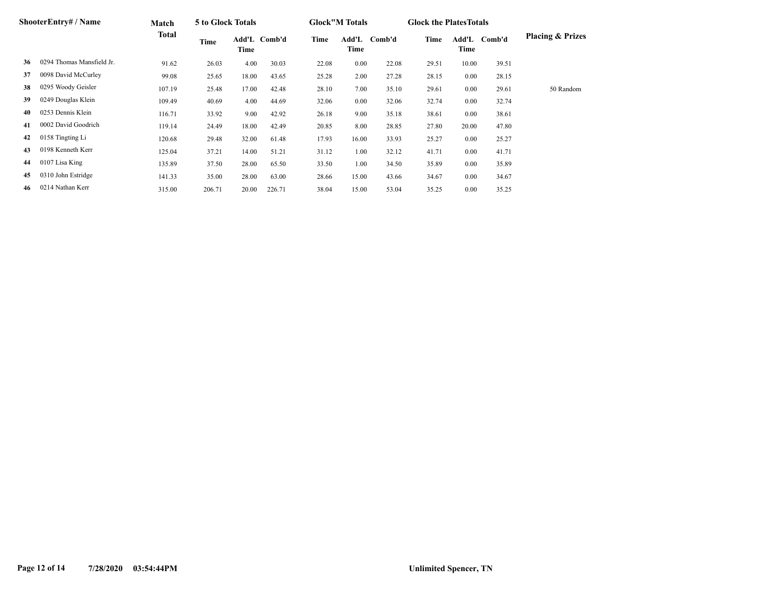| ShooterEntry# / Name |                           | Match        | 5 to Glock Totals |       |              |       | <b>Glock</b> "M Totals |        |       | <b>Glock the Plates Totals</b> |        |                             |
|----------------------|---------------------------|--------------|-------------------|-------|--------------|-------|------------------------|--------|-------|--------------------------------|--------|-----------------------------|
|                      |                           | <b>Total</b> | Time              | Time  | Add'L Comb'd | Time  | Add'L<br>Time          | Comb'd | Time  | Add'L<br>Time                  | Comb'd | <b>Placing &amp; Prizes</b> |
| 36                   | 0294 Thomas Mansfield Jr. | 91.62        | 26.03             | 4.00  | 30.03        | 22.08 | 0.00                   | 22.08  | 29.51 | 10.00                          | 39.51  |                             |
| 37                   | 0098 David McCurley       | 99.08        | 25.65             | 18.00 | 43.65        | 25.28 | 2.00                   | 27.28  | 28.15 | 0.00                           | 28.15  |                             |
| 38                   | 0295 Woody Geisler        | 107.19       | 25.48             | 17.00 | 42.48        | 28.10 | 7.00                   | 35.10  | 29.61 | 0.00                           | 29.61  | 50 Random                   |
| 39                   | 0249 Douglas Klein        | 109.49       | 40.69             | 4.00  | 44.69        | 32.06 | 0.00                   | 32.06  | 32.74 | $0.00\,$                       | 32.74  |                             |
| 40                   | 0253 Dennis Klein         | 116.71       | 33.92             | 9.00  | 42.92        | 26.18 | 9.00                   | 35.18  | 38.61 | 0.00                           | 38.61  |                             |
| 41                   | 0002 David Goodrich       | 119.14       | 24.49             | 18.00 | 42.49        | 20.85 | 8.00                   | 28.85  | 27.80 | 20.00                          | 47.80  |                             |
| 42                   | 0158 Tingting Li          | 120.68       | 29.48             | 32.00 | 61.48        | 17.93 | 16.00                  | 33.93  | 25.27 | 0.00                           | 25.27  |                             |
| 43                   | 0198 Kenneth Kerr         | 125.04       | 37.21             | 14.00 | 51.21        | 31.12 | 1.00                   | 32.12  | 41.71 | 0.00                           | 41.71  |                             |
| 44                   | 0107 Lisa King            | 135.89       | 37.50             | 28.00 | 65.50        | 33.50 | 1.00                   | 34.50  | 35.89 | 0.00                           | 35.89  |                             |
| 45                   | 0310 John Estridge        | 141.33       | 35.00             | 28.00 | 63.00        | 28.66 | 15.00                  | 43.66  | 34.67 | 0.00                           | 34.67  |                             |
| 46                   | 0214 Nathan Kerr          | 315.00       | 206.71            | 20.00 | 226.71       | 38.04 | 15.00                  | 53.04  | 35.25 | 0.00                           | 35.25  |                             |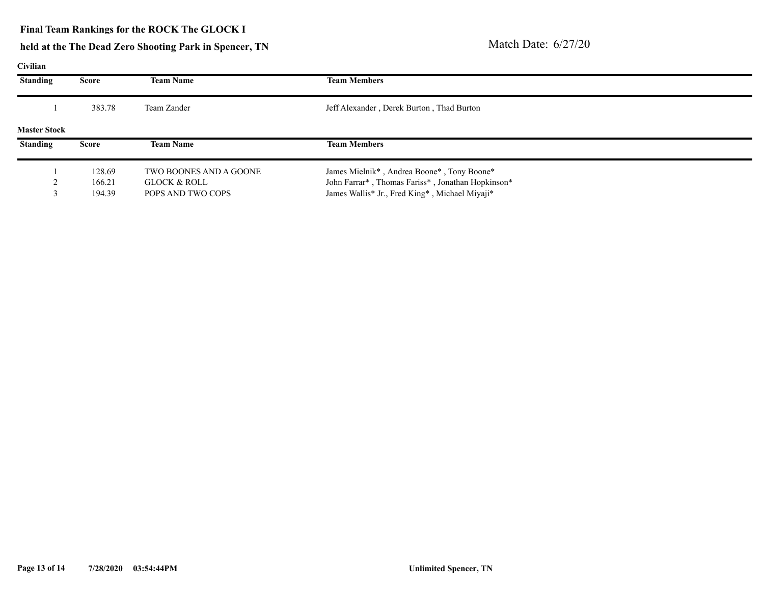### **Final Team Rankings for the ROCK The GLOCK I**

## **held at the The Dead Zero Shooting Park in Spencer, TN** Match Date: 6/27/20

### **Civilian**

| <b>Standing</b>     | Score        | <b>Team Name</b>       | <b>Team Members</b>                               |  |
|---------------------|--------------|------------------------|---------------------------------------------------|--|
|                     | 383.78       | Team Zander            | Jeff Alexander, Derek Burton, Thad Burton         |  |
| <b>Master Stock</b> |              |                        |                                                   |  |
| <b>Standing</b>     | <b>Score</b> | <b>Team Name</b>       | <b>Team Members</b>                               |  |
|                     | 128.69       | TWO BOONES AND A GOONE | James Mielnik*, Andrea Boone*, Tony Boone*        |  |
|                     | 166.21       | GLOCK & ROLL           | John Farrar*, Thomas Fariss*, Jonathan Hopkinson* |  |
|                     | 194.39       | POPS AND TWO COPS      | James Wallis* Jr., Fred King*, Michael Miyaji*    |  |